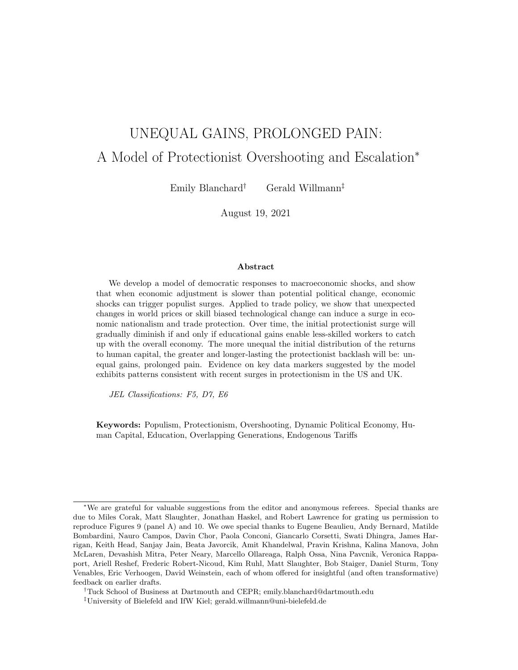# UNEQUAL GAINS, PROLONGED PAIN: A Model of Protectionist Overshooting and Escalation<sup>∗</sup>

Emily Blanchard† Gerald Willmann‡

August 19, 2021

#### Abstract

We develop a model of democratic responses to macroeconomic shocks, and show that when economic adjustment is slower than potential political change, economic shocks can trigger populist surges. Applied to trade policy, we show that unexpected changes in world prices or skill biased technological change can induce a surge in economic nationalism and trade protection. Over time, the initial protectionist surge will gradually diminish if and only if educational gains enable less-skilled workers to catch up with the overall economy. The more unequal the initial distribution of the returns to human capital, the greater and longer-lasting the protectionist backlash will be: unequal gains, prolonged pain. Evidence on key data markers suggested by the model exhibits patterns consistent with recent surges in protectionism in the US and UK.

JEL Classifications: F5, D7, E6

Keywords: Populism, Protectionism, Overshooting, Dynamic Political Economy, Human Capital, Education, Overlapping Generations, Endogenous Tariffs

<sup>∗</sup>We are grateful for valuable suggestions from the editor and anonymous referees. Special thanks are due to Miles Corak, Matt Slaughter, Jonathan Haskel, and Robert Lawrence for grating us permission to reproduce Figures 9 (panel A) and 10. We owe special thanks to Eugene Beaulieu, Andy Bernard, Matilde Bombardini, Nauro Campos, Davin Chor, Paola Conconi, Giancarlo Corsetti, Swati Dhingra, James Harrigan, Keith Head, Sanjay Jain, Beata Javorcik, Amit Khandelwal, Pravin Krishna, Kalina Manova, John McLaren, Devashish Mitra, Peter Neary, Marcello Ollareaga, Ralph Ossa, Nina Pavcnik, Veronica Rappaport, Ariell Reshef, Frederic Robert-Nicoud, Kim Ruhl, Matt Slaughter, Bob Staiger, Daniel Sturm, Tony Venables, Eric Verhoogen, David Weinstein, each of whom offered for insightful (and often transformative) feedback on earlier drafts.

<sup>†</sup>Tuck School of Business at Dartmouth and CEPR; emily.blanchard@dartmouth.edu

<sup>‡</sup>University of Bielefeld and IfW Kiel; gerald.willmann@uni-bielefeld.de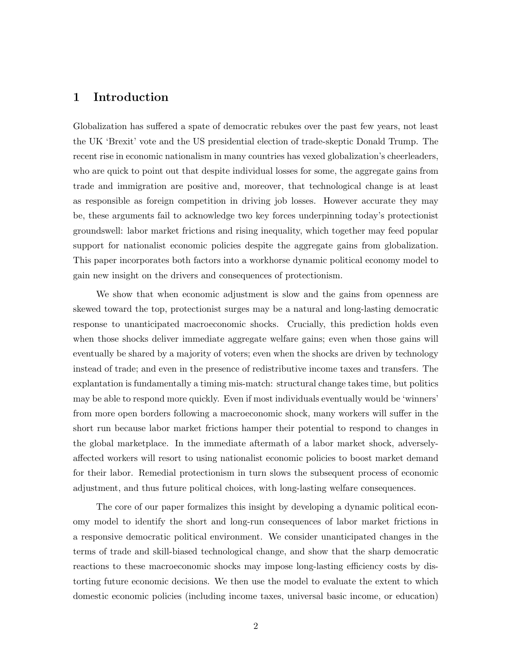# 1 Introduction

Globalization has suffered a spate of democratic rebukes over the past few years, not least the UK 'Brexit' vote and the US presidential election of trade-skeptic Donald Trump. The recent rise in economic nationalism in many countries has vexed globalization's cheerleaders, who are quick to point out that despite individual losses for some, the aggregate gains from trade and immigration are positive and, moreover, that technological change is at least as responsible as foreign competition in driving job losses. However accurate they may be, these arguments fail to acknowledge two key forces underpinning today's protectionist groundswell: labor market frictions and rising inequality, which together may feed popular support for nationalist economic policies despite the aggregate gains from globalization. This paper incorporates both factors into a workhorse dynamic political economy model to gain new insight on the drivers and consequences of protectionism.

We show that when economic adjustment is slow and the gains from openness are skewed toward the top, protectionist surges may be a natural and long-lasting democratic response to unanticipated macroeconomic shocks. Crucially, this prediction holds even when those shocks deliver immediate aggregate welfare gains; even when those gains will eventually be shared by a majority of voters; even when the shocks are driven by technology instead of trade; and even in the presence of redistributive income taxes and transfers. The explantation is fundamentally a timing mis-match: structural change takes time, but politics may be able to respond more quickly. Even if most individuals eventually would be 'winners' from more open borders following a macroeconomic shock, many workers will suffer in the short run because labor market frictions hamper their potential to respond to changes in the global marketplace. In the immediate aftermath of a labor market shock, adverselyaffected workers will resort to using nationalist economic policies to boost market demand for their labor. Remedial protectionism in turn slows the subsequent process of economic adjustment, and thus future political choices, with long-lasting welfare consequences.

The core of our paper formalizes this insight by developing a dynamic political economy model to identify the short and long-run consequences of labor market frictions in a responsive democratic political environment. We consider unanticipated changes in the terms of trade and skill-biased technological change, and show that the sharp democratic reactions to these macroeconomic shocks may impose long-lasting efficiency costs by distorting future economic decisions. We then use the model to evaluate the extent to which domestic economic policies (including income taxes, universal basic income, or education)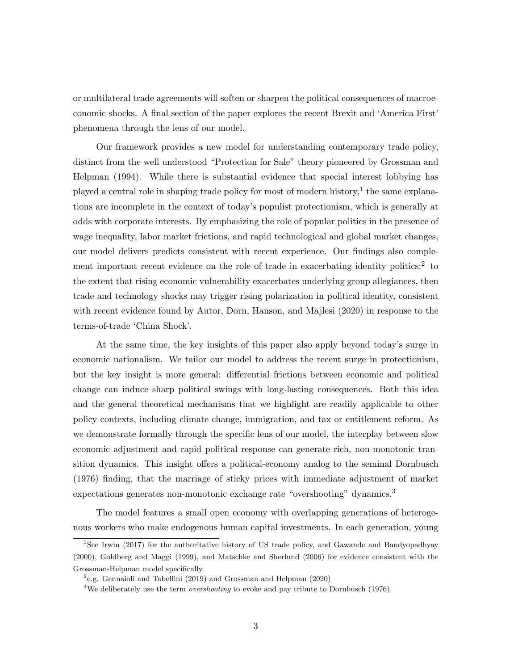or multilateral trade agreements will soften or sharpen the political consequences of macroeconomic shocks. A final section of the paper explores the recent Brexit and 'America First' phenomena through the lens of our model.

Our framework provides a new model for understanding contemporary trade policy, distinct from the well understood "Protection for Sale" theory pioneered by Grossman and Helpman (1994). While there is substantial evidence that special interest lobbying has played a central role in shaping trade policy for most of modern history,<sup>1</sup> the same explanations are incomplete in the context of today's populist protectionism, which is generally at odds with corporate interests. By emphasizing the role of popular politics in the presence of wage inequality, labor market frictions, and rapid technological and global market changes, our model delivers predicts consistent with recent experience. Our findings also complement important recent evidence on the role of trade in exacerbating identity politics:<sup>2</sup> to the extent that rising economic vulnerability exacerbates underlying group allegiances, then trade and technology shocks may trigger rising polarization in political identity, consistent with recent evidence found by Autor, Dorn, Hanson, and Majlesi (2020) in response to the terms-of-trade 'China Shock'.

At the same time, the key insights of this paper also apply beyond today's surge in economic nationalism. We tailor our model to address the recent surge in protectionism, but the key insight is more general: differential frictions between economic and political change can induce sharp political swings with long-lasting consequences. Both this idea and the general theoretical mechanisms that we highlight are readily applicable to other policy contexts, including climate change, immigration, and tax or entitlement reform. As we demonstrate formally through the specific lens of our model, the interplay between slow economic adjustment and rapid political response can generate rich, non-monotonic transition dynamics. This insight offers a political-economy analog to the seminal Dornbusch (1976) finding, that the marriage of sticky prices with immediate adjustment of market expectations generates non-monotonic exchange rate "overshooting" dynamics.<sup>3</sup>

The model features a small open economy with overlapping generations of heterogenous workers who make endogenous human capital investments. In each generation, young

<sup>&</sup>lt;sup>1</sup>See Irwin (2017) for the authoritative history of US trade policy, and Gawande and Bandyopadhyay (2000), Goldberg and Maggi (1999), and Matschke and Sherlund (2006) for evidence consistent with the Grossman-Helpman model specifically.

<sup>2</sup> e.g. Gennaioli and Tabellini (2019) and Grossman and Helpman (2020)

 $3$ We deliberately use the term *overshooting* to evoke and pay tribute to Dornbusch (1976).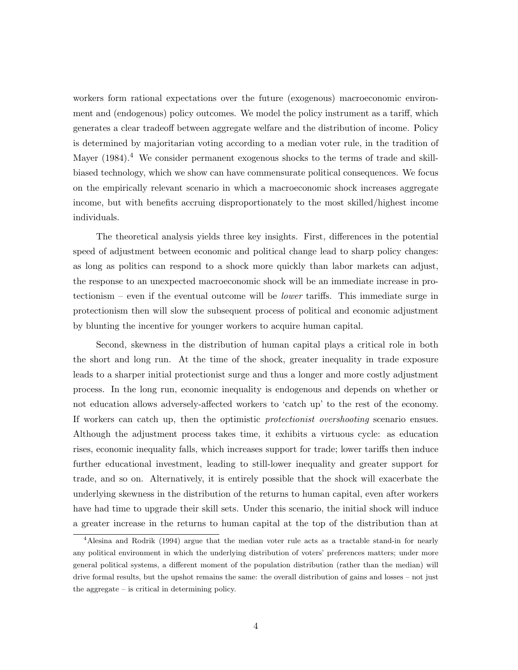workers form rational expectations over the future (exogenous) macroeconomic environment and (endogenous) policy outcomes. We model the policy instrument as a tariff, which generates a clear tradeoff between aggregate welfare and the distribution of income. Policy is determined by majoritarian voting according to a median voter rule, in the tradition of Mayer (1984).<sup>4</sup> We consider permanent exogenous shocks to the terms of trade and skillbiased technology, which we show can have commensurate political consequences. We focus on the empirically relevant scenario in which a macroeconomic shock increases aggregate income, but with benefits accruing disproportionately to the most skilled/highest income individuals.

The theoretical analysis yields three key insights. First, differences in the potential speed of adjustment between economic and political change lead to sharp policy changes: as long as politics can respond to a shock more quickly than labor markets can adjust, the response to an unexpected macroeconomic shock will be an immediate increase in protectionism – even if the eventual outcome will be lower tariffs. This immediate surge in protectionism then will slow the subsequent process of political and economic adjustment by blunting the incentive for younger workers to acquire human capital.

Second, skewness in the distribution of human capital plays a critical role in both the short and long run. At the time of the shock, greater inequality in trade exposure leads to a sharper initial protectionist surge and thus a longer and more costly adjustment process. In the long run, economic inequality is endogenous and depends on whether or not education allows adversely-affected workers to 'catch up' to the rest of the economy. If workers can catch up, then the optimistic protectionist overshooting scenario ensues. Although the adjustment process takes time, it exhibits a virtuous cycle: as education rises, economic inequality falls, which increases support for trade; lower tariffs then induce further educational investment, leading to still-lower inequality and greater support for trade, and so on. Alternatively, it is entirely possible that the shock will exacerbate the underlying skewness in the distribution of the returns to human capital, even after workers have had time to upgrade their skill sets. Under this scenario, the initial shock will induce a greater increase in the returns to human capital at the top of the distribution than at

<sup>4</sup>Alesina and Rodrik (1994) argue that the median voter rule acts as a tractable stand-in for nearly any political environment in which the underlying distribution of voters' preferences matters; under more general political systems, a different moment of the population distribution (rather than the median) will drive formal results, but the upshot remains the same: the overall distribution of gains and losses – not just the aggregate – is critical in determining policy.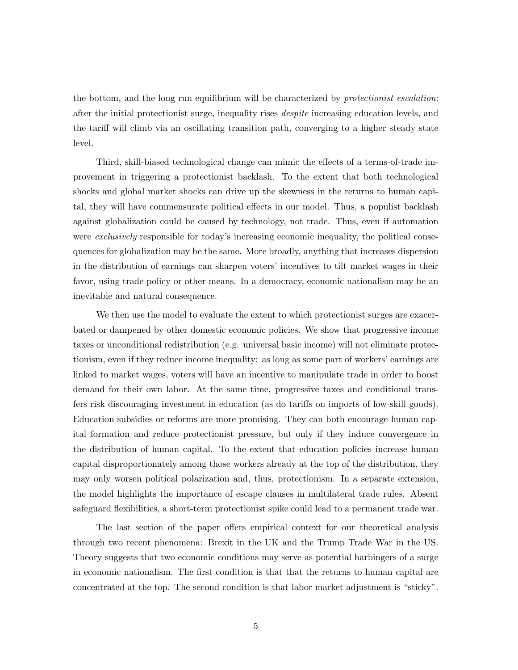the bottom, and the long run equilibrium will be characterized by protectionist escalation: after the initial protectionist surge, inequality rises despite increasing education levels, and the tariff will climb via an oscillating transition path, converging to a higher steady state level.

Third, skill-biased technological change can mimic the effects of a terms-of-trade improvement in triggering a protectionist backlash. To the extent that both technological shocks and global market shocks can drive up the skewness in the returns to human capital, they will have commensurate political effects in our model. Thus, a populist backlash against globalization could be caused by technology, not trade. Thus, even if automation were *exclusively* responsible for today's increasing economic inequality, the political consequences for globalization may be the same. More broadly, anything that increases dispersion in the distribution of earnings can sharpen voters' incentives to tilt market wages in their favor, using trade policy or other means. In a democracy, economic nationalism may be an inevitable and natural consequence.

We then use the model to evaluate the extent to which protectionist surges are exacerbated or dampened by other domestic economic policies. We show that progressive income taxes or unconditional redistribution (e.g. universal basic income) will not eliminate protectionism, even if they reduce income inequality: as long as some part of workers' earnings are linked to market wages, voters will have an incentive to manipulate trade in order to boost demand for their own labor. At the same time, progressive taxes and conditional transfers risk discouraging investment in education (as do tariffs on imports of low-skill goods). Education subsidies or reforms are more promising. They can both encourage human capital formation and reduce protectionist pressure, but only if they induce convergence in the distribution of human capital. To the extent that education policies increase human capital disproportionately among those workers already at the top of the distribution, they may only worsen political polarization and, thus, protectionism. In a separate extension, the model highlights the importance of escape clauses in multilateral trade rules. Absent safeguard flexibilities, a short-term protectionist spike could lead to a permanent trade war.

The last section of the paper offers empirical context for our theoretical analysis through two recent phenomena: Brexit in the UK and the Trump Trade War in the US. Theory suggests that two economic conditions may serve as potential harbingers of a surge in economic nationalism. The first condition is that that the returns to human capital are concentrated at the top. The second condition is that labor market adjustment is "sticky".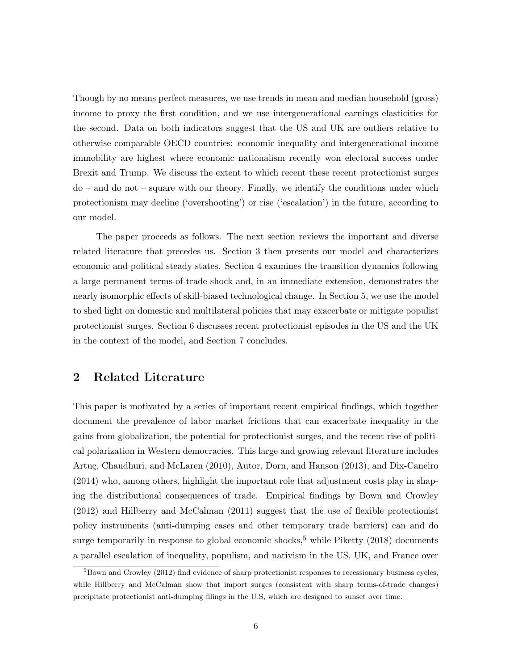Though by no means perfect measures, we use trends in mean and median household (gross) income to proxy the first condition, and we use intergenerational earnings elasticities for the second. Data on both indicators suggest that the US and UK are outliers relative to otherwise comparable OECD countries: economic inequality and intergenerational income immobility are highest where economic nationalism recently won electoral success under Brexit and Trump. We discuss the extent to which recent these recent protectionist surges do – and do not – square with our theory. Finally, we identify the conditions under which protectionism may decline ('overshooting') or rise ('escalation') in the future, according to our model.

The paper proceeds as follows. The next section reviews the important and diverse related literature that precedes us. Section 3 then presents our model and characterizes economic and political steady states. Section 4 examines the transition dynamics following a large permanent terms-of-trade shock and, in an immediate extension, demonstrates the nearly isomorphic effects of skill-biased technological change. In Section 5, we use the model to shed light on domestic and multilateral policies that may exacerbate or mitigate populist protectionist surges. Section 6 discusses recent protectionist episodes in the US and the UK in the context of the model, and Section 7 concludes.

# 2 Related Literature

This paper is motivated by a series of important recent empirical findings, which together document the prevalence of labor market frictions that can exacerbate inequality in the gains from globalization, the potential for protectionist surges, and the recent rise of political polarization in Western democracies. This large and growing relevant literature includes Artuç, Chaudhuri, and McLaren (2010), Autor, Dorn, and Hanson (2013), and Dix-Caneiro (2014) who, among others, highlight the important role that adjustment costs play in shaping the distributional consequences of trade. Empirical findings by Bown and Crowley (2012) and Hillberry and McCalman (2011) suggest that the use of flexible protectionist policy instruments (anti-dumping cases and other temporary trade barriers) can and do surge temporarily in response to global economic shocks,<sup>5</sup> while Piketty  $(2018)$  documents a parallel escalation of inequality, populism, and nativism in the US, UK, and France over

 $5Bown$  and Crowley (2012) find evidence of sharp protectionist responses to recessionary business cycles, while Hillberry and McCalman show that import surges (consistent with sharp terms-of-trade changes) precipitate protectionist anti-dumping filings in the U.S, which are designed to sunset over time.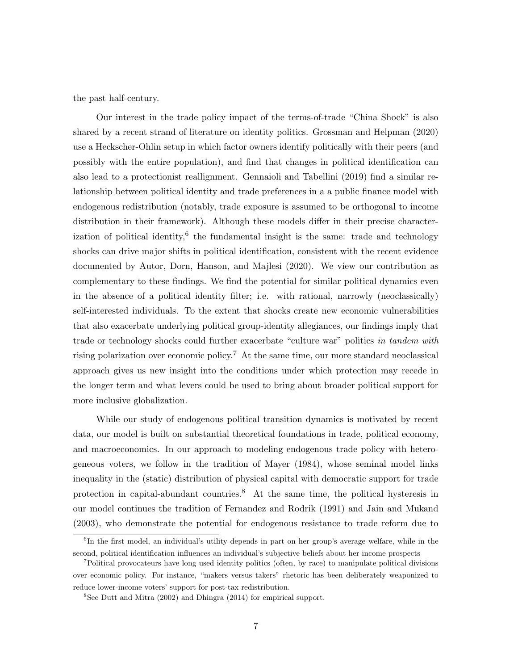the past half-century.

Our interest in the trade policy impact of the terms-of-trade "China Shock" is also shared by a recent strand of literature on identity politics. Grossman and Helpman (2020) use a Heckscher-Ohlin setup in which factor owners identify politically with their peers (and possibly with the entire population), and find that changes in political identification can also lead to a protectionist reallignment. Gennaioli and Tabellini (2019) find a similar relationship between political identity and trade preferences in a a public finance model with endogenous redistribution (notably, trade exposure is assumed to be orthogonal to income distribution in their framework). Although these models differ in their precise characterization of political identity,  $6$  the fundamental insight is the same: trade and technology shocks can drive major shifts in political identification, consistent with the recent evidence documented by Autor, Dorn, Hanson, and Majlesi (2020). We view our contribution as complementary to these findings. We find the potential for similar political dynamics even in the absence of a political identity filter; i.e. with rational, narrowly (neoclassically) self-interested individuals. To the extent that shocks create new economic vulnerabilities that also exacerbate underlying political group-identity allegiances, our findings imply that trade or technology shocks could further exacerbate "culture war" politics in tandem with rising polarization over economic policy.<sup>7</sup> At the same time, our more standard neoclassical approach gives us new insight into the conditions under which protection may recede in the longer term and what levers could be used to bring about broader political support for more inclusive globalization.

While our study of endogenous political transition dynamics is motivated by recent data, our model is built on substantial theoretical foundations in trade, political economy, and macroeconomics. In our approach to modeling endogenous trade policy with heterogeneous voters, we follow in the tradition of Mayer (1984), whose seminal model links inequality in the (static) distribution of physical capital with democratic support for trade protection in capital-abundant countries.<sup>8</sup> At the same time, the political hysteresis in our model continues the tradition of Fernandez and Rodrik (1991) and Jain and Mukand (2003), who demonstrate the potential for endogenous resistance to trade reform due to

<sup>&</sup>lt;sup>6</sup>In the first model, an individual's utility depends in part on her group's average welfare, while in the second, political identification influences an individual's subjective beliefs about her income prospects

<sup>7</sup>Political provocateurs have long used identity politics (often, by race) to manipulate political divisions over economic policy. For instance, "makers versus takers" rhetoric has been deliberately weaponized to reduce lower-income voters' support for post-tax redistribution.

<sup>&</sup>lt;sup>8</sup>See Dutt and Mitra (2002) and Dhingra (2014) for empirical support.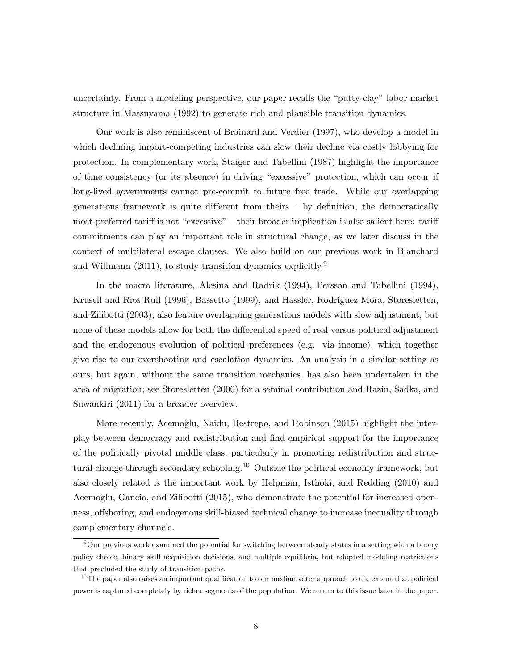uncertainty. From a modeling perspective, our paper recalls the "putty-clay" labor market structure in Matsuyama (1992) to generate rich and plausible transition dynamics.

Our work is also reminiscent of Brainard and Verdier (1997), who develop a model in which declining import-competing industries can slow their decline via costly lobbying for protection. In complementary work, Staiger and Tabellini (1987) highlight the importance of time consistency (or its absence) in driving "excessive" protection, which can occur if long-lived governments cannot pre-commit to future free trade. While our overlapping generations framework is quite different from theirs – by definition, the democratically most-preferred tariff is not "excessive" – their broader implication is also salient here: tariff commitments can play an important role in structural change, as we later discuss in the context of multilateral escape clauses. We also build on our previous work in Blanchard and Willmann (2011), to study transition dynamics explicitly.<sup>9</sup>

In the macro literature, Alesina and Rodrik (1994), Persson and Tabellini (1994), Krusell and Ríos-Rull (1996), Bassetto (1999), and Hassler, Rodríguez Mora, Storesletten, and Zilibotti (2003), also feature overlapping generations models with slow adjustment, but none of these models allow for both the differential speed of real versus political adjustment and the endogenous evolution of political preferences (e.g. via income), which together give rise to our overshooting and escalation dynamics. An analysis in a similar setting as ours, but again, without the same transition mechanics, has also been undertaken in the area of migration; see Storesletten (2000) for a seminal contribution and Razin, Sadka, and Suwankiri (2011) for a broader overview.

More recently, Acemoğlu, Naidu, Restrepo, and Robinson (2015) highlight the interplay between democracy and redistribution and find empirical support for the importance of the politically pivotal middle class, particularly in promoting redistribution and structural change through secondary schooling.<sup>10</sup> Outside the political economy framework, but also closely related is the important work by Helpman, Isthoki, and Redding (2010) and Acemoğlu, Gancia, and Zilibotti (2015), who demonstrate the potential for increased openness, offshoring, and endogenous skill-biased technical change to increase inequality through complementary channels.

<sup>9</sup>Our previous work examined the potential for switching between steady states in a setting with a binary policy choice, binary skill acquisition decisions, and multiple equilibria, but adopted modeling restrictions that precluded the study of transition paths.

 $10$ The paper also raises an important qualification to our median voter approach to the extent that political power is captured completely by richer segments of the population. We return to this issue later in the paper.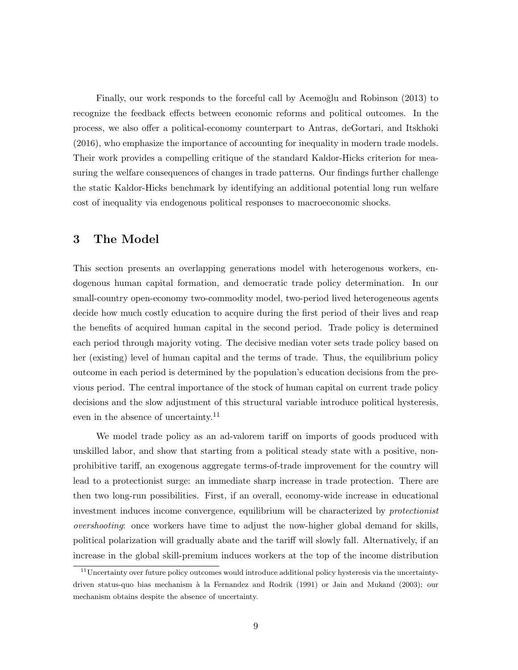Finally, our work responds to the forceful call by Acemoğlu and Robinson (2013) to recognize the feedback effects between economic reforms and political outcomes. In the process, we also offer a political-economy counterpart to Antras, deGortari, and Itskhoki (2016), who emphasize the importance of accounting for inequality in modern trade models. Their work provides a compelling critique of the standard Kaldor-Hicks criterion for measuring the welfare consequences of changes in trade patterns. Our findings further challenge the static Kaldor-Hicks benchmark by identifying an additional potential long run welfare cost of inequality via endogenous political responses to macroeconomic shocks.

# 3 The Model

This section presents an overlapping generations model with heterogenous workers, endogenous human capital formation, and democratic trade policy determination. In our small-country open-economy two-commodity model, two-period lived heterogeneous agents decide how much costly education to acquire during the first period of their lives and reap the benefits of acquired human capital in the second period. Trade policy is determined each period through majority voting. The decisive median voter sets trade policy based on her (existing) level of human capital and the terms of trade. Thus, the equilibrium policy outcome in each period is determined by the population's education decisions from the previous period. The central importance of the stock of human capital on current trade policy decisions and the slow adjustment of this structural variable introduce political hysteresis, even in the absence of uncertainty.<sup>11</sup>

We model trade policy as an ad-valorem tariff on imports of goods produced with unskilled labor, and show that starting from a political steady state with a positive, nonprohibitive tariff, an exogenous aggregate terms-of-trade improvement for the country will lead to a protectionist surge: an immediate sharp increase in trade protection. There are then two long-run possibilities. First, if an overall, economy-wide increase in educational investment induces income convergence, equilibrium will be characterized by protectionist overshooting: once workers have time to adjust the now-higher global demand for skills, political polarization will gradually abate and the tariff will slowly fall. Alternatively, if an increase in the global skill-premium induces workers at the top of the income distribution

<sup>&</sup>lt;sup>11</sup>Uncertainty over future policy outcomes would introduce additional policy hysteresis via the uncertaintydriven status-quo bias mechanism à la Fernandez and Rodrik (1991) or Jain and Mukand (2003); our mechanism obtains despite the absence of uncertainty.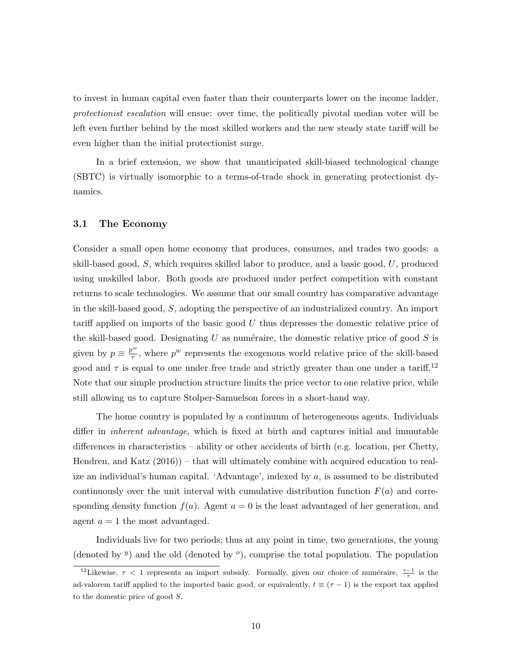to invest in human capital even faster than their counterparts lower on the income ladder, protectionist escalation will ensue: over time, the politically pivotal median voter will be left even further behind by the most skilled workers and the new steady state tariff will be even higher than the initial protectionist surge.

In a brief extension, we show that unanticipated skill-biased technological change (SBTC) is virtually isomorphic to a terms-of-trade shock in generating protectionist dynamics.

#### 3.1 The Economy

Consider a small open home economy that produces, consumes, and trades two goods: a skill-based good, S, which requires skilled labor to produce, and a basic good, U, produced using unskilled labor. Both goods are produced under perfect competition with constant returns to scale technologies. We assume that our small country has comparative advantage in the skill-based good, S, adopting the perspective of an industrialized country. An import tariff applied on imports of the basic good U thus depresses the domestic relative price of the skill-based good. Designating U as numéraire, the domestic relative price of good  $S$  is given by  $p \equiv \frac{p^w}{\tau}$  $\frac{\partial v}{\partial \tau}$ , where  $p^w$  represents the exogenous world relative price of the skill-based good and  $\tau$  is equal to one under free trade and strictly greater than one under a tariff.<sup>12</sup> Note that our simple production structure limits the price vector to one relative price, while still allowing us to capture Stolper-Samuelson forces in a short-hand way.

The home country is populated by a continuum of heterogeneous agents. Individuals differ in inherent advantage, which is fixed at birth and captures initial and immutable differences in characteristics – ability or other accidents of birth (e.g. location, per Chetty, Hendren, and Katz (2016)) – that will ultimately combine with acquired education to realize an individual's human capital. 'Advantage', indexed by a, is assumed to be distributed continuously over the unit interval with cumulative distribution function  $F(a)$  and corresponding density function  $f(a)$ . Agent  $a = 0$  is the least advantaged of her generation, and agent  $a = 1$  the most advantaged.

Individuals live for two periods; thus at any point in time, two generations, the young (denoted by  $\ell$ ) and the old (denoted by  $\ell$ ), comprise the total population. The population

<sup>&</sup>lt;sup>12</sup>Likewise,  $\tau$  < 1 represents an import subsidy. Formally, given our choice of numéraire,  $\frac{\tau-1}{\tau}$  is the ad-valorem tariff applied to the imported basic good, or equivalently,  $t \equiv (\tau - 1)$  is the export tax applied to the domestic price of good S.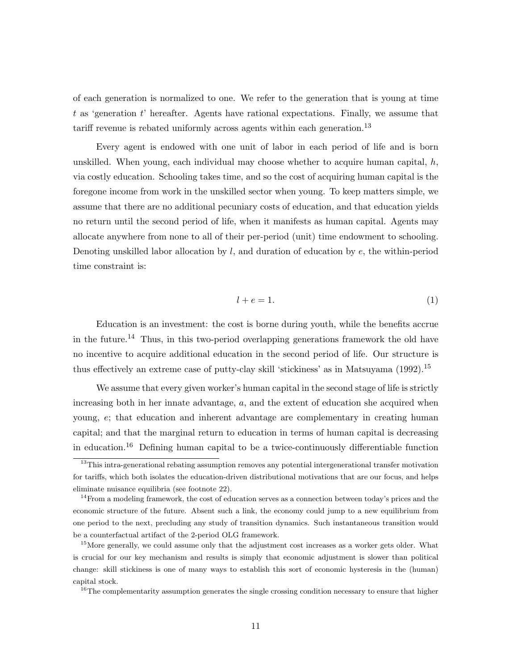of each generation is normalized to one. We refer to the generation that is young at time t as 'generation t' hereafter. Agents have rational expectations. Finally, we assume that tariff revenue is rebated uniformly across agents within each generation.<sup>13</sup>

Every agent is endowed with one unit of labor in each period of life and is born unskilled. When young, each individual may choose whether to acquire human capital,  $h$ , via costly education. Schooling takes time, and so the cost of acquiring human capital is the foregone income from work in the unskilled sector when young. To keep matters simple, we assume that there are no additional pecuniary costs of education, and that education yields no return until the second period of life, when it manifests as human capital. Agents may allocate anywhere from none to all of their per-period (unit) time endowment to schooling. Denoting unskilled labor allocation by  $l$ , and duration of education by  $e$ , the within-period time constraint is:

$$
l + e = 1.\t\t(1)
$$

Education is an investment: the cost is borne during youth, while the benefits accrue in the future.<sup>14</sup> Thus, in this two-period overlapping generations framework the old have no incentive to acquire additional education in the second period of life. Our structure is thus effectively an extreme case of putty-clay skill 'stickiness' as in Matsuyama (1992).<sup>15</sup>

We assume that every given worker's human capital in the second stage of life is strictly increasing both in her innate advantage, a, and the extent of education she acquired when young, e; that education and inherent advantage are complementary in creating human capital; and that the marginal return to education in terms of human capital is decreasing in education.<sup>16</sup> Defining human capital to be a twice-continuously differentiable function

 $16$ The complementarity assumption generates the single crossing condition necessary to ensure that higher

<sup>&</sup>lt;sup>13</sup>This intra-generational rebating assumption removes any potential intergenerational transfer motivation for tariffs, which both isolates the education-driven distributional motivations that are our focus, and helps eliminate nuisance equilibria (see footnote 22).

 $14$  From a modeling framework, the cost of education serves as a connection between today's prices and the economic structure of the future. Absent such a link, the economy could jump to a new equilibrium from one period to the next, precluding any study of transition dynamics. Such instantaneous transition would be a counterfactual artifact of the 2-period OLG framework.

<sup>&</sup>lt;sup>15</sup>More generally, we could assume only that the adjustment cost increases as a worker gets older. What is crucial for our key mechanism and results is simply that economic adjustment is slower than political change: skill stickiness is one of many ways to establish this sort of economic hysteresis in the (human) capital stock.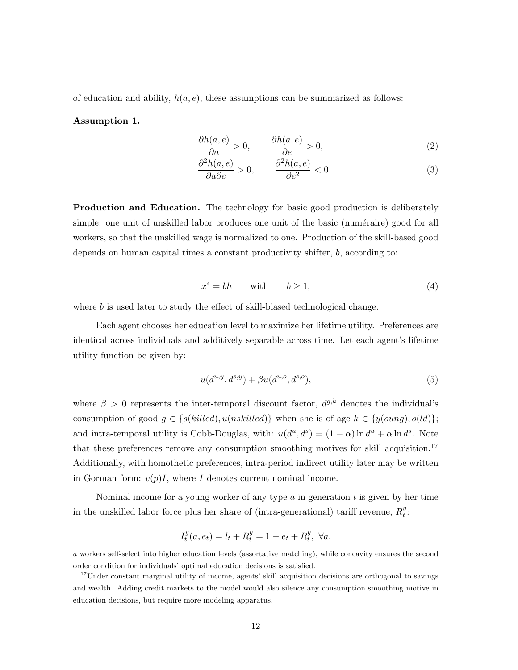of education and ability,  $h(a, e)$ , these assumptions can be summarized as follows:

## Assumption 1.

$$
\frac{\partial h(a,e)}{\partial a} > 0, \qquad \frac{\partial h(a,e)}{\partial e} > 0,
$$
\n(2)

$$
\frac{\partial^2 h(a,e)}{\partial a \partial e} > 0, \qquad \frac{\partial^2 h(a,e)}{\partial e^2} < 0.
$$
 (3)

Production and Education. The technology for basic good production is deliberately simple: one unit of unskilled labor produces one unit of the basic (numéraire) good for all workers, so that the unskilled wage is normalized to one. Production of the skill-based good depends on human capital times a constant productivity shifter, b, according to:

$$
x^s = bh \quad \text{with} \quad b \ge 1,\tag{4}
$$

where  $b$  is used later to study the effect of skill-biased technological change.

Each agent chooses her education level to maximize her lifetime utility. Preferences are identical across individuals and additively separable across time. Let each agent's lifetime utility function be given by:

$$
u(d^{u,y},d^{s,y}) + \beta u(d^{u,o},d^{s,o}), \qquad (5)
$$

where  $\beta > 0$  represents the inter-temporal discount factor,  $d^{g,k}$  denotes the individual's consumption of good  $g \in \{s(killed), u(nskilled)\}\$  when she is of age  $k \in \{y(oung), o(dd)\}\;$ ; and intra-temporal utility is Cobb-Douglas, with:  $u(d^u, d^s) = (1 - \alpha) \ln d^u + \alpha \ln d^s$ . Note that these preferences remove any consumption smoothing motives for skill acquisition.<sup>17</sup> Additionally, with homothetic preferences, intra-period indirect utility later may be written in Gorman form:  $v(p)I$ , where I denotes current nominal income.

Nominal income for a young worker of any type  $a$  in generation  $t$  is given by her time in the unskilled labor force plus her share of (intra-generational) tariff revenue,  $R_t^y$  $\frac{y}{t}$ :

$$
I_t^y(a, e_t) = l_t + R_t^y = 1 - e_t + R_t^y, \ \forall a.
$$

a workers self-select into higher education levels (assortative matching), while concavity ensures the second order condition for individuals' optimal education decisions is satisfied.

<sup>&</sup>lt;sup>17</sup>Under constant marginal utility of income, agents' skill acquisition decisions are orthogonal to savings and wealth. Adding credit markets to the model would also silence any consumption smoothing motive in education decisions, but require more modeling apparatus.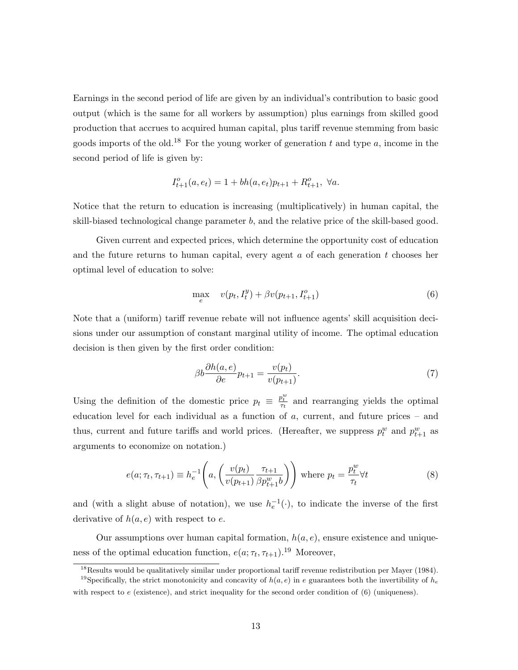Earnings in the second period of life are given by an individual's contribution to basic good output (which is the same for all workers by assumption) plus earnings from skilled good production that accrues to acquired human capital, plus tariff revenue stemming from basic goods imports of the old.<sup>18</sup> For the young worker of generation t and type a, income in the second period of life is given by:

$$
I_{t+1}^o(a, e_t) = 1 + bh(a, e_t)p_{t+1} + R_{t+1}^o, \ \forall a.
$$

Notice that the return to education is increasing (multiplicatively) in human capital, the skill-biased technological change parameter b, and the relative price of the skill-based good.

Given current and expected prices, which determine the opportunity cost of education and the future returns to human capital, every agent  $a$  of each generation  $t$  chooses her optimal level of education to solve:

$$
\max_{e} \quad v(p_t, I_t^y) + \beta v(p_{t+1}, I_{t+1}^o) \tag{6}
$$

Note that a (uniform) tariff revenue rebate will not influence agents' skill acquisition decisions under our assumption of constant marginal utility of income. The optimal education decision is then given by the first order condition:

$$
\beta b \frac{\partial h(a,e)}{\partial e} p_{t+1} = \frac{v(p_t)}{v(p_{t+1})}.
$$
\n(7)

Using the definition of the domestic price  $p_t \equiv \frac{p_t^w}{\tau_t}$  and rearranging yields the optimal education level for each individual as a function of a, current, and future prices – and thus, current and future tariffs and world prices. (Hereafter, we suppress  $p_t^w$  and  $p_{t+1}^w$  as arguments to economize on notation.)

$$
e(a; \tau_t, \tau_{t+1}) \equiv h_e^{-1}\left(a, \left(\frac{v(p_t)}{v(p_{t+1})} \frac{\tau_{t+1}}{\beta p_{t+1}^w b}\right)\right) \text{ where } p_t = \frac{p_t^w}{\tau_t} \forall t \tag{8}
$$

and (with a slight abuse of notation), we use  $h_e^{-1}(\cdot)$ , to indicate the inverse of the first derivative of  $h(a, e)$  with respect to e.

Our assumptions over human capital formation,  $h(a, e)$ , ensure existence and uniqueness of the optimal education function,  $e(a; \tau_t, \tau_{t+1})$ .<sup>19</sup> Moreover,

<sup>18</sup>Results would be qualitatively similar under proportional tariff revenue redistribution per Mayer (1984).

<sup>&</sup>lt;sup>19</sup>Specifically, the strict monotonicity and concavity of  $h(a, e)$  in e guarantees both the invertibility of  $h_e$ with respect to  $e$  (existence), and strict inequality for the second order condition of  $(6)$  (uniqueness).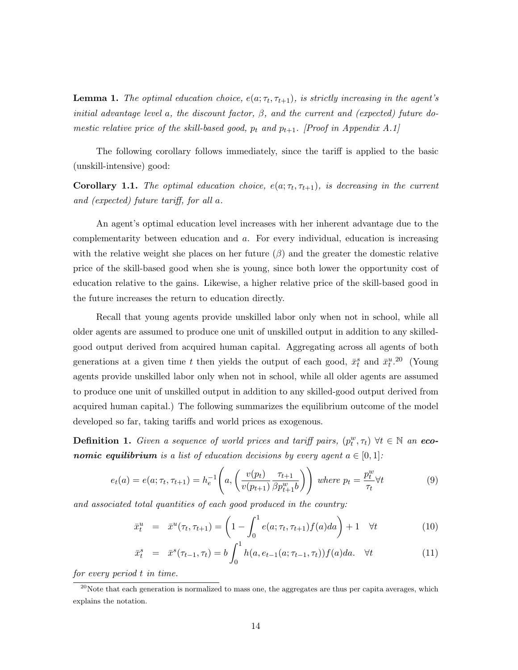**Lemma 1.** The optimal education choice,  $e(a; \tau_t, \tau_{t+1})$ , is strictly increasing in the agent's initial advantage level a, the discount factor,  $\beta$ , and the current and (expected) future domestic relative price of the skill-based good,  $p_t$  and  $p_{t+1}$ . [Proof in Appendix A.1]

The following corollary follows immediately, since the tariff is applied to the basic (unskill-intensive) good:

**Corollary 1.1.** The optimal education choice,  $e(a; \tau_t, \tau_{t+1})$ , is decreasing in the current and (expected) future tariff, for all a.

An agent's optimal education level increases with her inherent advantage due to the complementarity between education and a. For every individual, education is increasing with the relative weight she places on her future  $(\beta)$  and the greater the domestic relative price of the skill-based good when she is young, since both lower the opportunity cost of education relative to the gains. Likewise, a higher relative price of the skill-based good in the future increases the return to education directly.

Recall that young agents provide unskilled labor only when not in school, while all older agents are assumed to produce one unit of unskilled output in addition to any skilledgood output derived from acquired human capital. Aggregating across all agents of both generations at a given time t then yields the output of each good,  $\bar{x}_t^s$  and  $\bar{x}_t^u$ .<sup>20</sup> (Young agents provide unskilled labor only when not in school, while all older agents are assumed to produce one unit of unskilled output in addition to any skilled-good output derived from acquired human capital.) The following summarizes the equilibrium outcome of the model developed so far, taking tariffs and world prices as exogenous.

**Definition 1.** Given a sequence of world prices and tariff pairs,  $(p_t^w, \tau_t)$   $\forall t \in \mathbb{N}$  an eco**nomic equilibrium** is a list of education decisions by every agent  $a \in [0,1]$ :

$$
e_t(a) = e(a; \tau_t, \tau_{t+1}) = h_e^{-1}\left(a, \left(\frac{v(p_t)}{v(p_{t+1})} \frac{\tau_{t+1}}{\beta p_{t+1}^w b}\right)\right) \text{ where } p_t = \frac{p_t^w}{\tau_t} \forall t \tag{9}
$$

and associated total quantities of each good produced in the country:

$$
\bar{x}_t^u = \bar{x}^u(\tau_t, \tau_{t+1}) = \left(1 - \int_0^1 e(a; \tau_t, \tau_{t+1}) f(a) da\right) + 1 \quad \forall t \tag{10}
$$

$$
\bar{x}_t^s = \bar{x}^s(\tau_{t-1}, \tau_t) = b \int_0^1 h(a, e_{t-1}(a; \tau_{t-1}, \tau_t)) f(a) da. \quad \forall t \tag{11}
$$

for every period t in time.

 $20$ Note that each generation is normalized to mass one, the aggregates are thus per capita averages, which explains the notation.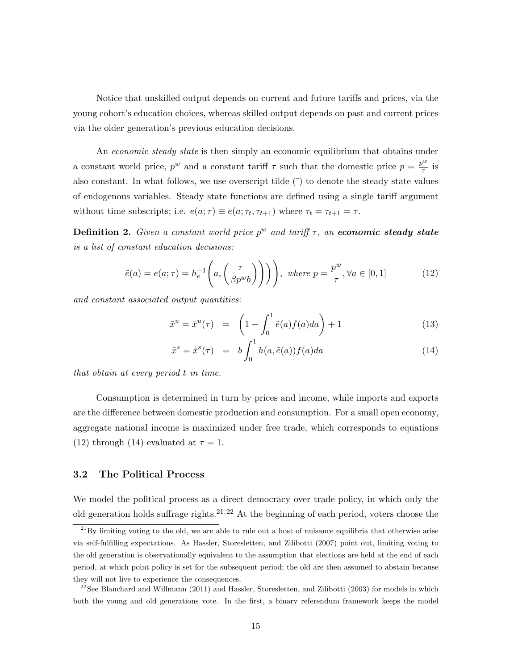Notice that unskilled output depends on current and future tariffs and prices, via the young cohort's education choices, whereas skilled output depends on past and current prices via the older generation's previous education decisions.

An *economic steady state* is then simply an economic equilibrium that obtains under a constant world price,  $p^w$  and a constant tariff  $\tau$  such that the domestic price  $p = \frac{p^w}{\tau}$  $\frac{\partial^{\alpha}}{\partial \tau}$  is also constant. In what follows, we use overscript tilde  $(\tilde{\ })$  to denote the steady state values of endogenous variables. Steady state functions are defined using a single tariff argument without time subscripts; i.e.  $e(a; \tau) \equiv e(a; \tau_t, \tau_{t+1})$  where  $\tau_t = \tau_{t+1} = \tau$ .

**Definition 2.** Given a constant world price  $p^w$  and tariff  $\tau$ , an economic steady state is a list of constant education decisions:

$$
\tilde{e}(a) = e(a; \tau) = h_e^{-1}\left(a, \left(\frac{\tau}{\beta p^w b}\right)\right)\right), \text{ where } p = \frac{p^w}{\tau}, \forall a \in [0, 1]
$$
\n(12)

and constant associated output quantities:

$$
\tilde{x}^u = \bar{x}^u(\tau) = \left(1 - \int_0^1 \tilde{e}(a)f(a)da\right) + 1 \tag{13}
$$

$$
\tilde{x}^s = \bar{x}^s(\tau) = b \int_0^1 h(a, \tilde{e}(a)) f(a) da \qquad (14)
$$

that obtain at every period t in time.

Consumption is determined in turn by prices and income, while imports and exports are the difference between domestic production and consumption. For a small open economy, aggregate national income is maximized under free trade, which corresponds to equations (12) through (14) evaluated at  $\tau = 1$ .

# 3.2 The Political Process

We model the political process as a direct democracy over trade policy, in which only the old generation holds suffrage rights.<sup>21,22</sup> At the beginning of each period, voters choose the

 $^{21}$ By limiting voting to the old, we are able to rule out a host of nuisance equilibria that otherwise arise via self-fulfilling expectations. As Hassler, Storesletten, and Zilibotti (2007) point out, limiting voting to the old generation is observationally equivalent to the assumption that elections are held at the end of each period, at which point policy is set for the subsequent period; the old are then assumed to abstain because they will not live to experience the consequences.

 $22$ See Blanchard and Willmann (2011) and Hassler, Storesletten, and Zilibotti (2003) for models in which both the young and old generations vote. In the first, a binary referendum framework keeps the model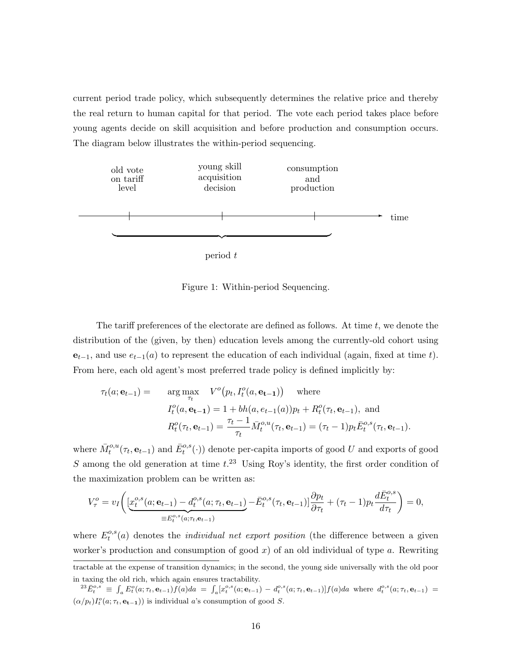current period trade policy, which subsequently determines the relative price and thereby the real return to human capital for that period. The vote each period takes place before young agents decide on skill acquisition and before production and consumption occurs. The diagram below illustrates the within-period sequencing.



Figure 1: Within-period Sequencing.

The tariff preferences of the electorate are defined as follows. At time  $t$ , we denote the distribution of the (given, by then) education levels among the currently-old cohort using  $e_{t-1}$ , and use  $e_{t-1}(a)$  to represent the education of each individual (again, fixed at time t). From here, each old agent's most preferred trade policy is defined implicitly by:

$$
\tau_t(a; \mathbf{e}_{t-1}) = \arg \max_{\tau_t} V^o(p_t, I_t^o(a, \mathbf{e}_{t-1})) \text{ where}
$$
  

$$
I_t^o(a, \mathbf{e}_{t-1}) = 1 + bh(a, e_{t-1}(a))p_t + R_t^o(\tau_t, \mathbf{e}_{t-1}), \text{ and}
$$
  

$$
R_t^o(\tau_t, \mathbf{e}_{t-1}) = \frac{\tau_t - 1}{\tau_t} \bar{M}_t^{o,u}(\tau_t, \mathbf{e}_{t-1}) = (\tau_t - 1)p_t \bar{E}_t^{o,s}(\tau_t, \mathbf{e}_{t-1}).
$$

where  $\bar{M}^{o,u}_t(\tau_t, \mathbf{e}_{t-1})$  and  $\bar{E}^{o,s}_t(\cdot)$  denote per-capita imports of good U and exports of good S among the old generation at time  $t^{23}$  Using Roy's identity, the first order condition of the maximization problem can be written as:

$$
V_{\tau}^{o} = v_{I} \left( \underbrace{[x_{t}^{o,s}(a; \mathbf{e}_{t-1}) - d_{t}^{o,s}(a; \tau_{t}, \mathbf{e}_{t-1})}_{\equiv E_{t}^{o,s}(a; \tau_{t}, \mathbf{e}_{t-1})} - \bar{E}_{t}^{o,s}(\tau_{t}, \mathbf{e}_{t-1}) \right) \frac{\partial p_{t}}{\partial \tau_{t}} + (\tau_{t} - 1) p_{t} \frac{d \bar{E}_{t}^{o,s}}{d \tau_{t}} \right) = 0,
$$

where  $E_t^{o,s}$  $t^{o,s}(a)$  denotes the *individual net export position* (the difference between a given worker's production and consumption of good  $x$ ) of an old individual of type  $a$ . Rewriting

tractable at the expense of transition dynamics; in the second, the young side universally with the old poor in taxing the old rich, which again ensures tractability.

 ${}^{23}\bar{E}^{o,s}_t \equiv \int_a E^o_t(a;\tau_t, \mathbf{e}_{t-1})f(a)da = \int_a [x_t^{o,s}(a;\mathbf{e}_{t-1}) - d_t^{o,s}(a;\tau_t, \mathbf{e}_{t-1})]f(a)da$  where  $d_t^{o,s}(a;\tau_t, \mathbf{e}_{t-1}) =$  $(\alpha/p_t)I_t^o(a; \tau_t, \mathbf{e_{t-1}}))$  is individual a's consumption of good S.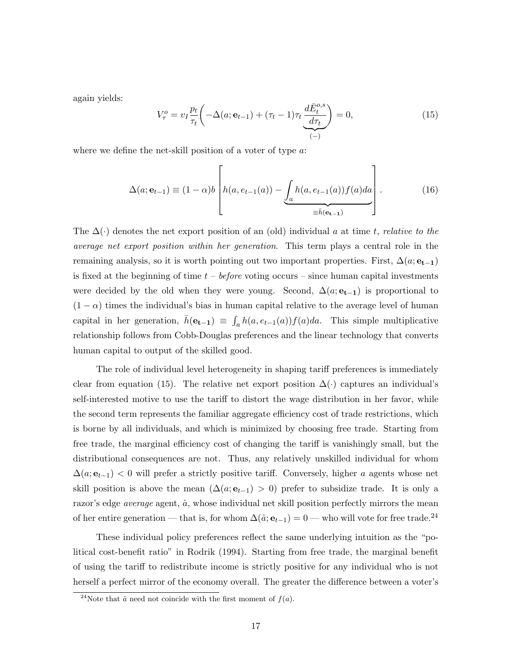again yields:

$$
V_{\tau}^{o} = v_{I} \frac{p_{t}}{\tau_{t}} \left( -\Delta(a; \mathbf{e}_{t-1}) + (\tau_{t} - 1)\tau_{t} \underbrace{\frac{d\bar{E}_{t}^{o,s}}{d\tau_{t}}}_{(-)} \right) = 0, \qquad (15)
$$

where we define the net-skill position of a voter of type a:

$$
\Delta(a; \mathbf{e}_{t-1}) \equiv (1 - \alpha)b \left[ h(a, e_{t-1}(a)) - \underbrace{\int_a h(a, e_{t-1}(a)) f(a) da}_{\equiv \bar{h}(\mathbf{e}_{t-1})} \right].
$$
 (16)

The  $\Delta(\cdot)$  denotes the net export position of an (old) individual a at time t, relative to the average net export position within her generation. This term plays a central role in the remaining analysis, so it is worth pointing out two important properties. First,  $\Delta(a; \mathbf{e_{t-1}})$ is fixed at the beginning of time  $t - before$  voting occurs – since human capital investments were decided by the old when they were young. Second,  $\Delta(a; e_{t-1})$  is proportional to  $(1 - \alpha)$  times the individual's bias in human capital relative to the average level of human capital in her generation,  $\bar{h}(\mathbf{e_{t-1}}) \equiv \int_a h(a, e_{t-1}(a))f(a)da$ . This simple multiplicative relationship follows from Cobb-Douglas preferences and the linear technology that converts human capital to output of the skilled good.

The role of individual level heterogeneity in shaping tariff preferences is immediately clear from equation (15). The relative net export position  $\Delta(\cdot)$  captures an individual's self-interested motive to use the tariff to distort the wage distribution in her favor, while the second term represents the familiar aggregate efficiency cost of trade restrictions, which is borne by all individuals, and which is minimized by choosing free trade. Starting from free trade, the marginal efficiency cost of changing the tariff is vanishingly small, but the distributional consequences are not. Thus, any relatively unskilled individual for whom  $\Delta(a; \mathbf{e}_{t-1})$  < 0 will prefer a strictly positive tariff. Conversely, higher a agents whose net skill position is above the mean  $(\Delta(a; e_{t-1}) > 0)$  prefer to subsidize trade. It is only a razor's edge *average* agent,  $\hat{a}$ , whose individual net skill position perfectly mirrors the mean of her entire generation — that is, for whom  $\Delta(\hat{a}; \mathbf{e}_{t-1}) = 0$  — who will vote for free trade.<sup>24</sup>

These individual policy preferences reflect the same underlying intuition as the "political cost-benefit ratio" in Rodrik (1994). Starting from free trade, the marginal benefit of using the tariff to redistribute income is strictly positive for any individual who is not herself a perfect mirror of the economy overall. The greater the difference between a voter's

<sup>&</sup>lt;sup>24</sup>Note that  $\hat{a}$  need not coincide with the first moment of  $f(a)$ .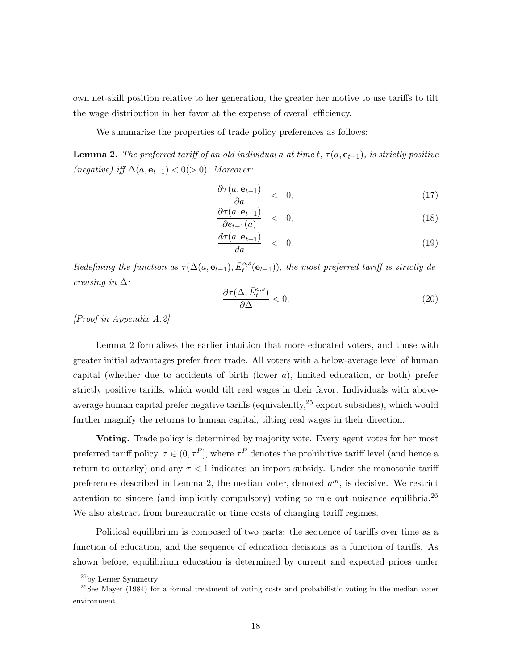own net-skill position relative to her generation, the greater her motive to use tariffs to tilt the wage distribution in her favor at the expense of overall efficiency.

We summarize the properties of trade policy preferences as follows:

**Lemma 2.** The preferred tariff of an old individual a at time t,  $\tau(a, e_{t-1})$ , is strictly positive (negative) iff  $\Delta(a, \mathbf{e}_{t-1}) < 0(> 0)$ . Moreover:

$$
\frac{\partial \tau(a, \mathbf{e}_{t-1})}{\partial a} \quad < \quad 0,\tag{17}
$$

$$
\frac{\partial \tau(a, \mathbf{e}_{t-1})}{\partial e_{t-1}(a)} \quad < \quad 0,\tag{18}
$$

$$
\frac{d\tau(a,\mathbf{e}_{t-1})}{da} \quad < \quad 0. \tag{19}
$$

Redefining the function as  $\tau(\Delta(a, \mathbf{e}_{t-1}), \bar{E}_{t}^{\text{o},s}(\mathbf{e}_{t-1}))$ , the most preferred tariff is strictly decreasing in  $\Delta$ :

$$
\frac{\partial \tau(\Delta, \bar{E}_t^{o,s})}{\partial \Delta} < 0. \tag{20}
$$

[Proof in Appendix A.2]

Lemma 2 formalizes the earlier intuition that more educated voters, and those with greater initial advantages prefer freer trade. All voters with a below-average level of human capital (whether due to accidents of birth (lower  $a$ ), limited education, or both) prefer strictly positive tariffs, which would tilt real wages in their favor. Individuals with aboveaverage human capital prefer negative tariffs (equivalently,  $2<sup>5</sup>$  export subsidies), which would further magnify the returns to human capital, tilting real wages in their direction.

Voting. Trade policy is determined by majority vote. Every agent votes for her most preferred tariff policy,  $\tau \in (0, \tau^P)$ , where  $\tau^P$  denotes the prohibitive tariff level (and hence a return to autarky) and any  $\tau < 1$  indicates an import subsidy. Under the monotonic tariff preferences described in Lemma 2, the median voter, denoted  $a^m$ , is decisive. We restrict attention to sincere (and implicitly compulsory) voting to rule out nuisance equilibria.<sup>26</sup> We also abstract from bureaucratic or time costs of changing tariff regimes.

Political equilibrium is composed of two parts: the sequence of tariffs over time as a function of education, and the sequence of education decisions as a function of tariffs. As shown before, equilibrium education is determined by current and expected prices under

<sup>25</sup>by Lerner Symmetry

<sup>&</sup>lt;sup>26</sup>See Mayer (1984) for a formal treatment of voting costs and probabilistic voting in the median voter environment.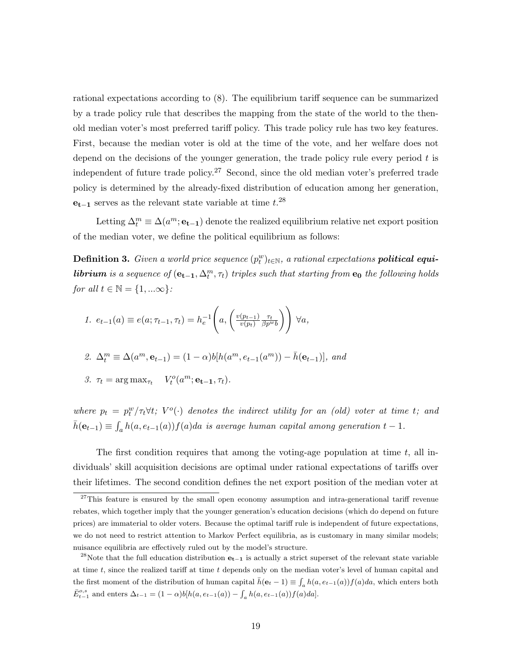rational expectations according to (8). The equilibrium tariff sequence can be summarized by a trade policy rule that describes the mapping from the state of the world to the thenold median voter's most preferred tariff policy. This trade policy rule has two key features. First, because the median voter is old at the time of the vote, and her welfare does not depend on the decisions of the younger generation, the trade policy rule every period  $t$  is independent of future trade policy.<sup>27</sup> Second, since the old median voter's preferred trade policy is determined by the already-fixed distribution of education among her generation,  $e_{t-1}$  serves as the relevant state variable at time  $t.^{28}$ 

Letting  $\Delta_t^m \equiv \Delta(a^m; \mathbf{e_{t-1}})$  denote the realized equilibrium relative net export position of the median voter, we define the political equilibrium as follows:

**Definition 3.** Given a world price sequence  $(p_t^w)_{t \in \mathbb{N}}$ , a rational expectations **political equilibrium** is a sequence of  $(e_{t-1}, \Delta_t^m, \tau_t)$  triples such that starting from  $e_0$  the following holds for all  $t \in \mathbb{N} = \{1, ...\infty\}$ :

1. 
$$
e_{t-1}(a) \equiv e(a; \tau_{t-1}, \tau_t) = h_e^{-1}\left(a, \left(\frac{v(p_{t-1})}{v(p_t)} \frac{\tau_t}{\beta p^{w_b}}\right)\right) \forall a,
$$

2. 
$$
\Delta_t^m \equiv \Delta(a^m, \mathbf{e}_{t-1}) = (1 - \alpha)b[h(a^m, e_{t-1}(a^m)) - \bar{h}(\mathbf{e}_{t-1})],
$$
 and

$$
\mathcal{Z}.\ \tau_t = \arg \max_{\tau_t} \quad V_t^o(a^m; \mathbf{e_{t-1}}, \tau_t).
$$

where  $p_t = p_t^w / \tau_t \forall t$ ;  $V^o(\cdot)$  denotes the indirect utility for an (old) voter at time t; and  $\bar{h}(\mathbf{e}_{t-1}) \equiv \int_a h(a, e_{t-1}(a))f(a)da$  is average human capital among generation  $t-1$ .

The first condition requires that among the voting-age population at time  $t$ , all individuals' skill acquisition decisions are optimal under rational expectations of tariffs over their lifetimes. The second condition defines the net export position of the median voter at

 $27$ This feature is ensured by the small open economy assumption and intra-generational tariff revenue rebates, which together imply that the younger generation's education decisions (which do depend on future prices) are immaterial to older voters. Because the optimal tariff rule is independent of future expectations, we do not need to restrict attention to Markov Perfect equilibria, as is customary in many similar models; nuisance equilibria are effectively ruled out by the model's structure.

<sup>&</sup>lt;sup>28</sup>Note that the full education distribution  $e_{t-1}$  is actually a strict superset of the relevant state variable at time t, since the realized tariff at time t depends only on the median voter's level of human capital and the first moment of the distribution of human capital  $\bar{h}(\mathbf{e}_t - 1) \equiv \int_a h(a, e_{t-1}(a)) f(a) da$ , which enters both  $\bar{E}_{t-1}^{o,s}$  and enters  $\Delta_{t-1} = (1 - \alpha) b[h(a, e_{t-1}(a)) - \int_a h(a, e_{t-1}(a)) f(a) da].$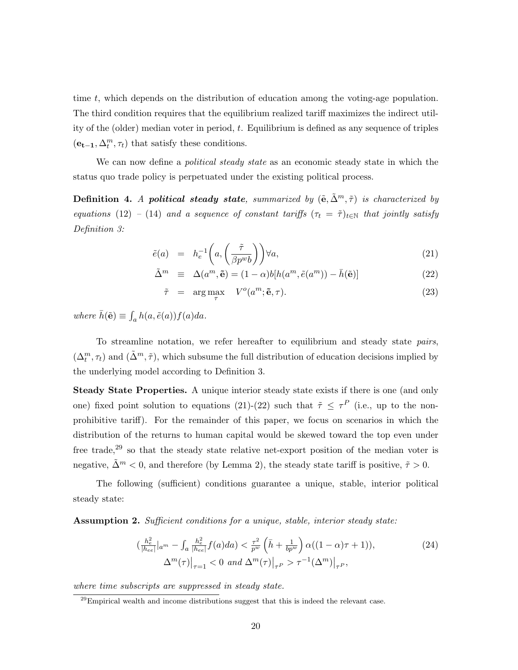time  $t$ , which depends on the distribution of education among the voting-age population. The third condition requires that the equilibrium realized tariff maximizes the indirect utility of the (older) median voter in period,  $t$ . Equilibrium is defined as any sequence of triples  $(\mathbf{e_{t-1}},\Delta^m_t,\tau_t)$  that satisfy these conditions.

We can now define a *political steady state* as an economic steady state in which the status quo trade policy is perpetuated under the existing political process.

**Definition 4.** A political steady state, summarized by  $(\tilde{e}, \tilde{\Delta}^m, \tilde{\tau})$  is characterized by equations (12) – (14) and a sequence of constant tariffs  $(\tau_t = \tilde{\tau})_{t \in \mathbb{N}}$  that jointly satisfy Definition 3:

$$
\tilde{e}(a) = h_e^{-1}\left(a, \left(\frac{\tilde{\tau}}{\beta p^w b}\right)\right) \forall a,
$$
\n(21)

$$
\tilde{\Delta}^m \equiv \Delta(a^m, \tilde{\mathbf{e}}) = (1 - \alpha)b[h(a^m, \tilde{e}(a^m)) - \bar{h}(\tilde{\mathbf{e}})] \tag{22}
$$

$$
\tilde{\tau} = \arg \max_{\tau} V^o(a^m; \tilde{\mathbf{e}}, \tau). \tag{23}
$$

where  $\bar{h}(\tilde{\mathbf{e}}) \equiv \int_a h(a, \tilde{e}(a)) f(a) da$ .

To streamline notation, we refer hereafter to equilibrium and steady state pairs,  $(\Delta_t^m, \tau_t)$  and  $(\tilde{\Delta}^m, \tilde{\tau})$ , which subsume the full distribution of education decisions implied by the underlying model according to Definition 3.

Steady State Properties. A unique interior steady state exists if there is one (and only one) fixed point solution to equations (21)-(22) such that  $\tilde{\tau} \leq \tau^P$  (i.e., up to the nonprohibitive tariff). For the remainder of this paper, we focus on scenarios in which the distribution of the returns to human capital would be skewed toward the top even under free trade,<sup>29</sup> so that the steady state relative net-export position of the median voter is negative,  $\tilde{\Delta}^m < 0$ , and therefore (by Lemma 2), the steady state tariff is positive,  $\tilde{\tau} > 0$ .

The following (sufficient) conditions guarantee a unique, stable, interior political steady state:

Assumption 2. Sufficient conditions for a unique, stable, interior steady state:

$$
\left(\frac{h_e^2}{|h_{ee}|}|_{a^m} - \int_a \frac{h_e^2}{|h_{ee}|} f(a) da\right) < \frac{\tau^2}{p^w} \left(\bar{h} + \frac{1}{bp^w}\right) \alpha((1 - \alpha)\tau + 1)),
$$
\n
$$
\Delta^m(\tau)\big|_{\tau=1} < 0 \text{ and } \Delta^m(\tau)\big|_{\tau} > \tau^{-1}(\Delta^m)\big|_{\tau}^P,
$$
\n
$$
(24)
$$

where time subscripts are suppressed in steady state.

 $^{29}$ Empirical wealth and income distributions suggest that this is indeed the relevant case.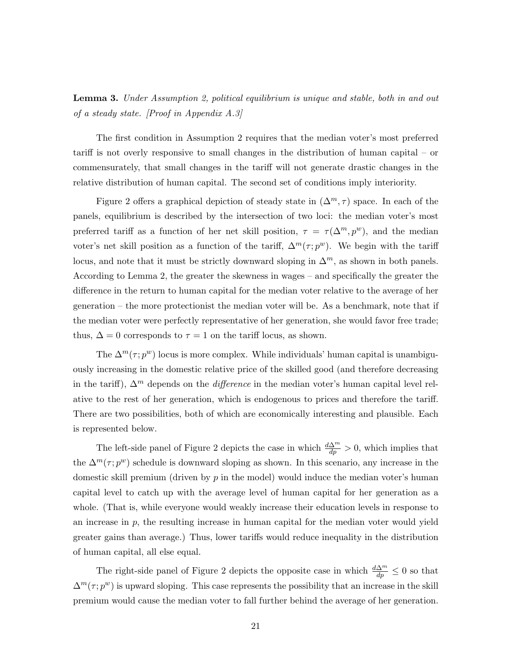Lemma 3. Under Assumption 2, political equilibrium is unique and stable, both in and out of a steady state. [Proof in Appendix A.3]

The first condition in Assumption 2 requires that the median voter's most preferred tariff is not overly responsive to small changes in the distribution of human capital – or commensurately, that small changes in the tariff will not generate drastic changes in the relative distribution of human capital. The second set of conditions imply interiority.

Figure 2 offers a graphical depiction of steady state in  $(\Delta^m, \tau)$  space. In each of the panels, equilibrium is described by the intersection of two loci: the median voter's most preferred tariff as a function of her net skill position,  $\tau = \tau(\Delta^m, p^w)$ , and the median voter's net skill position as a function of the tariff,  $\Delta^m(\tau; p^w)$ . We begin with the tariff locus, and note that it must be strictly downward sloping in  $\Delta^m$ , as shown in both panels. According to Lemma 2, the greater the skewness in wages – and specifically the greater the difference in the return to human capital for the median voter relative to the average of her generation – the more protectionist the median voter will be. As a benchmark, note that if the median voter were perfectly representative of her generation, she would favor free trade; thus,  $\Delta = 0$  corresponds to  $\tau = 1$  on the tariff locus, as shown.

The  $\Delta^m(\tau; p^w)$  locus is more complex. While individuals' human capital is unambiguously increasing in the domestic relative price of the skilled good (and therefore decreasing in the tariff),  $\Delta^m$  depends on the *difference* in the median voter's human capital level relative to the rest of her generation, which is endogenous to prices and therefore the tariff. There are two possibilities, both of which are economically interesting and plausible. Each is represented below.

The left-side panel of Figure 2 depicts the case in which  $\frac{d\Delta^m}{dp} > 0$ , which implies that the  $\Delta^m(\tau; p^w)$  schedule is downward sloping as shown. In this scenario, any increase in the domestic skill premium (driven by  $p$  in the model) would induce the median voter's human capital level to catch up with the average level of human capital for her generation as a whole. (That is, while everyone would weakly increase their education levels in response to an increase in  $p$ , the resulting increase in human capital for the median voter would yield greater gains than average.) Thus, lower tariffs would reduce inequality in the distribution of human capital, all else equal.

The right-side panel of Figure 2 depicts the opposite case in which  $\frac{d\Delta^m}{dp} \leq 0$  so that  $\Delta^m(\tau; p^w)$  is upward sloping. This case represents the possibility that an increase in the skill premium would cause the median voter to fall further behind the average of her generation.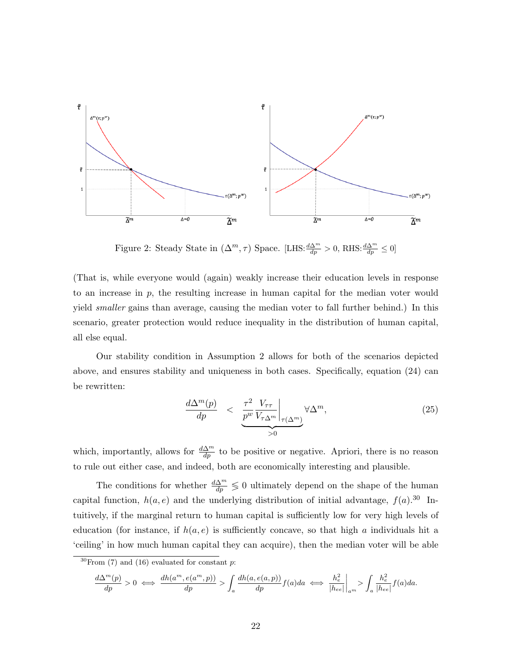

Figure 2: Steady State in  $(\Delta^m, \tau)$  Space. [LHS: $\frac{d\Delta^m}{dp} > 0$ , RHS: $\frac{d\Delta^m}{dp} \le 0$ ]

(That is, while everyone would (again) weakly increase their education levels in response to an increase in p, the resulting increase in human capital for the median voter would yield smaller gains than average, causing the median voter to fall further behind.) In this scenario, greater protection would reduce inequality in the distribution of human capital, all else equal.

Our stability condition in Assumption 2 allows for both of the scenarios depicted above, and ensures stability and uniqueness in both cases. Specifically, equation (24) can be rewritten:

$$
\frac{d\Delta^{m}(p)}{dp} < \underbrace{\frac{\tau^{2}}{p^{w}} \frac{V_{\tau\tau}}{V_{\tau\Delta^{m}}}\bigg|_{\tau(\Delta^{m})}}_{>0} \forall \Delta^{m},\tag{25}
$$

which, importantly, allows for  $\frac{d\Delta^m}{dp}$  to be positive or negative. Apriori, there is no reason to rule out either case, and indeed, both are economically interesting and plausible.

The conditions for whether  $\frac{d\Delta^m}{dp} \leq 0$  ultimately depend on the shape of the human capital function,  $h(a, e)$  and the underlying distribution of initial advantage,  $f(a)$ .<sup>30</sup> Intuitively, if the marginal return to human capital is sufficiently low for very high levels of education (for instance, if  $h(a, e)$  is sufficiently concave, so that high a individuals hit a 'ceiling' in how much human capital they can acquire), then the median voter will be able

$$
\frac{d\Delta^{m}(p)}{dp} > 0 \iff \frac{dh(a^{m}, e(a^{m}, p))}{dp} > \int_{a} \frac{dh(a, e(a, p))}{dp} f(a) da \iff \frac{h_{e}^{2}}{|h_{ee}|}\Big|_{a^{m}} > \int_{a} \frac{h_{e}^{2}}{|h_{ee}|} f(a) da.
$$

 $30$  From (7) and (16) evaluated for constant p: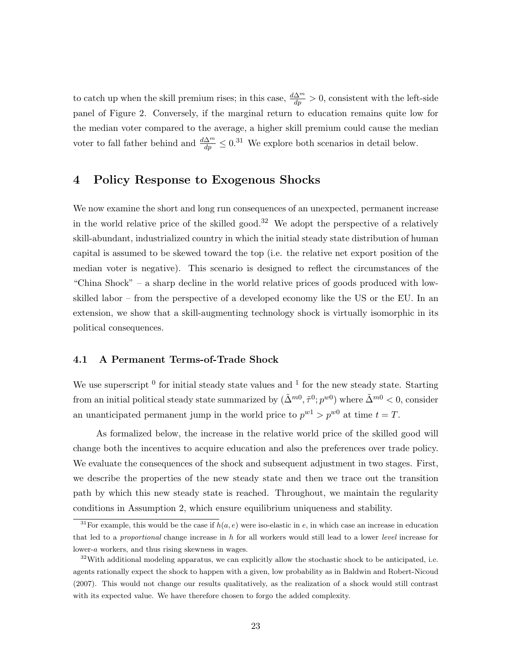to catch up when the skill premium rises; in this case,  $\frac{d\Delta^m}{dp} > 0$ , consistent with the left-side panel of Figure 2. Conversely, if the marginal return to education remains quite low for the median voter compared to the average, a higher skill premium could cause the median voter to fall father behind and  $\frac{d\Delta^m}{dp} \leq 0.31$  We explore both scenarios in detail below.

# 4 Policy Response to Exogenous Shocks

We now examine the short and long run consequences of an unexpected, permanent increase in the world relative price of the skilled good.<sup>32</sup> We adopt the perspective of a relatively skill-abundant, industrialized country in which the initial steady state distribution of human capital is assumed to be skewed toward the top (i.e. the relative net export position of the median voter is negative). This scenario is designed to reflect the circumstances of the "China Shock" – a sharp decline in the world relative prices of goods produced with lowskilled labor – from the perspective of a developed economy like the US or the EU. In an extension, we show that a skill-augmenting technology shock is virtually isomorphic in its political consequences.

## 4.1 A Permanent Terms-of-Trade Shock

We use superscript  $\delta$  for initial steady state values and  $\delta$  for the new steady state. Starting from an initial political steady state summarized by  $(\tilde{\Delta}^{m0}, \tilde{\tau}^0; p^{w0})$  where  $\tilde{\Delta}^{m0} < 0$ , consider an unanticipated permanent jump in the world price to  $p^{w}$  >  $p^{w0}$  at time  $t = T$ .

As formalized below, the increase in the relative world price of the skilled good will change both the incentives to acquire education and also the preferences over trade policy. We evaluate the consequences of the shock and subsequent adjustment in two stages. First, we describe the properties of the new steady state and then we trace out the transition path by which this new steady state is reached. Throughout, we maintain the regularity conditions in Assumption 2, which ensure equilibrium uniqueness and stability.

<sup>&</sup>lt;sup>31</sup>For example, this would be the case if  $h(a, e)$  were iso-elastic in e, in which case an increase in education that led to a proportional change increase in h for all workers would still lead to a lower level increase for lower-a workers, and thus rising skewness in wages.

 $32$ With additional modeling apparatus, we can explicitly allow the stochastic shock to be anticipated, i.e. agents rationally expect the shock to happen with a given, low probability as in Baldwin and Robert-Nicoud (2007). This would not change our results qualitatively, as the realization of a shock would still contrast with its expected value. We have therefore chosen to forgo the added complexity.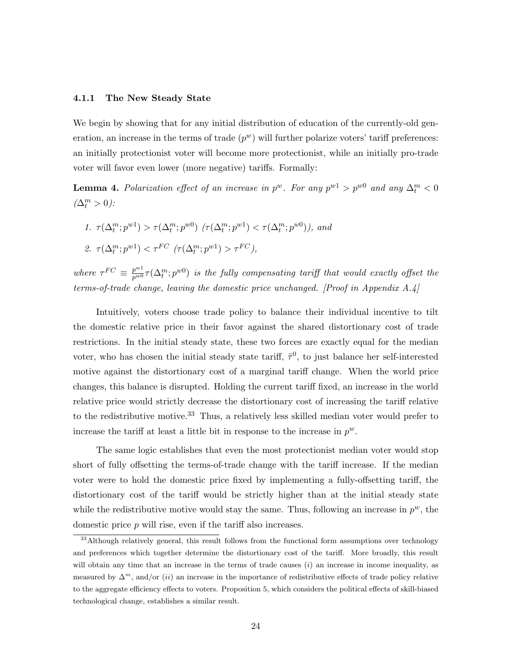#### 4.1.1 The New Steady State

We begin by showing that for any initial distribution of education of the currently-old generation, an increase in the terms of trade  $(p^w)$  will further polarize voters' tariff preferences: an initially protectionist voter will become more protectionist, while an initially pro-trade voter will favor even lower (more negative) tariffs. Formally:

**Lemma 4.** Polarization effect of an increase in  $p^w$ . For any  $p^{w1} > p^{w0}$  and any  $\Delta_t^m < 0$  $(\Delta^m_t > 0)$ :

1.  $\tau(\Delta_t^m; p^{w1}) > \tau(\Delta_t^m; p^{w0})$   $(\tau(\Delta_t^m; p^{w1}) < \tau(\Delta_t^m; p^{w0}))$ , and 2.  $\tau(\Delta_t^m; p^{w1}) < \tau^{FC}$   $(\tau(\Delta_t^m; p^{w1}) > \tau^{FC})$ ,

where  $\tau^{FC} \equiv \frac{p^{w1}}{p^{w0}} \tau(\Delta_t^m; p^{w0})$  is the fully compensating tariff that would exactly offset the terms-of-trade change, leaving the domestic price unchanged. [Proof in Appendix  $A.\mathcal{A}$ ]

Intuitively, voters choose trade policy to balance their individual incentive to tilt the domestic relative price in their favor against the shared distortionary cost of trade restrictions. In the initial steady state, these two forces are exactly equal for the median voter, who has chosen the initial steady state tariff,  $\tilde{\tau}^0$ , to just balance her self-interested motive against the distortionary cost of a marginal tariff change. When the world price changes, this balance is disrupted. Holding the current tariff fixed, an increase in the world relative price would strictly decrease the distortionary cost of increasing the tariff relative to the redistributive motive.<sup>33</sup> Thus, a relatively less skilled median voter would prefer to increase the tariff at least a little bit in response to the increase in  $p^w$ .

The same logic establishes that even the most protectionist median voter would stop short of fully offsetting the terms-of-trade change with the tariff increase. If the median voter were to hold the domestic price fixed by implementing a fully-offsetting tariff, the distortionary cost of the tariff would be strictly higher than at the initial steady state while the redistributive motive would stay the same. Thus, following an increase in  $p^w$ , the domestic price p will rise, even if the tariff also increases.

 $33$ Although relatively general, this result follows from the functional form assumptions over technology and preferences which together determine the distortionary cost of the tariff. More broadly, this result will obtain any time that an increase in the terms of trade causes  $(i)$  an increase in income inequality, as measured by  $\Delta^m$ , and/or (ii) an increase in the importance of redistributive effects of trade policy relative to the aggregate efficiency effects to voters. Proposition 5, which considers the political effects of skill-biased technological change, establishes a similar result.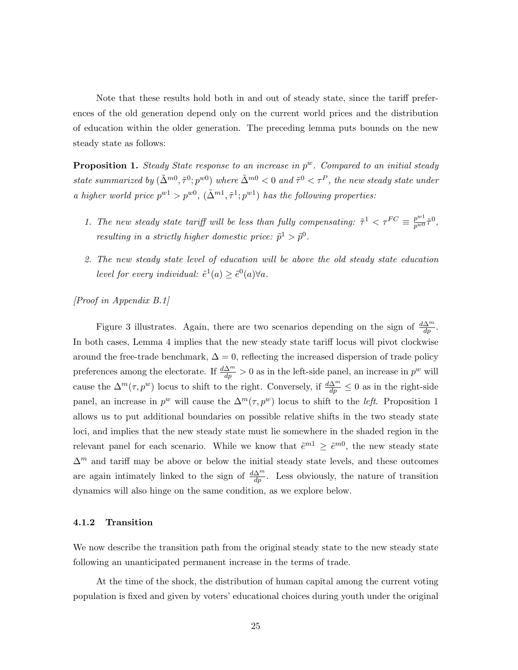Note that these results hold both in and out of steady state, since the tariff preferences of the old generation depend only on the current world prices and the distribution of education within the older generation. The preceding lemma puts bounds on the new steady state as follows:

**Proposition 1.** Steady State response to an increase in  $p^w$ . Compared to an initial steady state summarized by  $(\tilde{\Delta}^{m0}, \tilde{\tau}^0; p^{w0})$  where  $\tilde{\Delta}^{m0} < 0$  and  $\tilde{\tau}^0 < \tau^P$ , the new steady state under a higher world price  $p^{w1} > p^{w0}$ ,  $(\tilde{\Delta}^{m1}, \tilde{\tau}^1; p^{w1})$  has the following properties:

- 1. The new steady state tariff will be less than fully compensating:  $\tilde{\tau}^1 < \tau^{FC} \equiv \frac{p^{w_1}}{p^{w_0}} \tilde{\tau}^0$ , resulting in a strictly higher domestic price:  $\tilde{p}^1 > \tilde{p}^0$ .
- 2. The new steady state level of education will be above the old steady state education level for every individual:  $\tilde{e}^1(a) \geq \tilde{e}^0(a) \forall a$ .

[Proof in Appendix B.1]

Figure 3 illustrates. Again, there are two scenarios depending on the sign of  $\frac{d\Delta^m}{dp}$ . In both cases, Lemma 4 implies that the new steady state tariff locus will pivot clockwise around the free-trade benchmark,  $\Delta = 0$ , reflecting the increased dispersion of trade policy preferences among the electorate. If  $\frac{d\Delta^m}{dp} > 0$  as in the left-side panel, an increase in  $p^w$  will cause the  $\Delta^m(\tau, p^w)$  locus to shift to the right. Conversely, if  $\frac{d\Delta^m}{dp} \leq 0$  as in the right-side panel, an increase in  $p^w$  will cause the  $\Delta^m(\tau, p^w)$  locus to shift to the *left*. Proposition 1 allows us to put additional boundaries on possible relative shifts in the two steady state loci, and implies that the new steady state must lie somewhere in the shaded region in the relevant panel for each scenario. While we know that  $\tilde{e}^{m} \geq \tilde{e}^{m}$ , the new steady state  $\Delta^m$  and tariff may be above or below the initial steady state levels, and these outcomes are again intimately linked to the sign of  $\frac{d\Delta^m}{dp}$ . Less obviously, the nature of transition dynamics will also hinge on the same condition, as we explore below.

# 4.1.2 Transition

We now describe the transition path from the original steady state to the new steady state following an unanticipated permanent increase in the terms of trade.

At the time of the shock, the distribution of human capital among the current voting population is fixed and given by voters' educational choices during youth under the original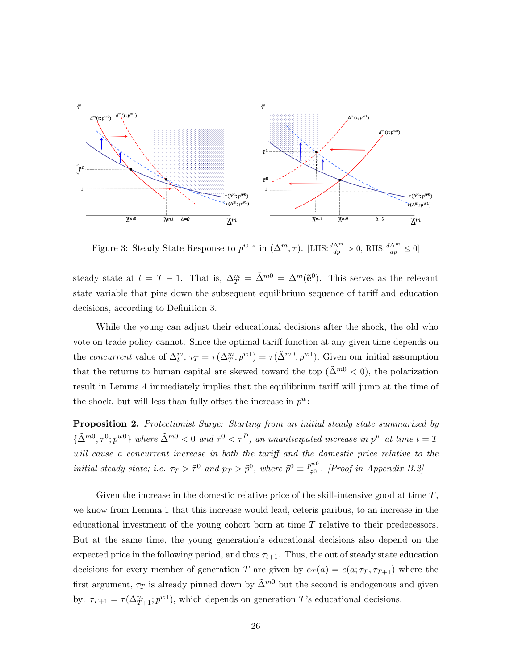

Figure 3: Steady State Response to  $p^w \uparrow$  in  $(\Delta^m, \tau)$ . [LHS: $\frac{d\Delta^m}{dp} > 0$ , RHS: $\frac{d\Delta^m}{dp} \le 0$ ]

steady state at  $t = T - 1$ . That is,  $\Delta_T^m = \tilde{\Delta}^{m0} = \Delta^m(\tilde{e}^0)$ . This serves as the relevant state variable that pins down the subsequent equilibrium sequence of tariff and education decisions, according to Definition 3.

While the young can adjust their educational decisions after the shock, the old who vote on trade policy cannot. Since the optimal tariff function at any given time depends on the *concurrent* value of  $\Delta_t^m$ ,  $\tau_T = \tau(\Delta_T^m, p^{w_1}) = \tau(\tilde{\Delta}^{m0}, p^{w_1})$ . Given our initial assumption that the returns to human capital are skewed toward the top ( $\tilde{\Delta}^{m0} < 0$ ), the polarization result in Lemma 4 immediately implies that the equilibrium tariff will jump at the time of the shock, but will less than fully offset the increase in  $p^w$ :

Proposition 2. Protectionist Surge: Starting from an initial steady state summarized by  $\{\tilde{\Delta}^{m0}, \tilde{\tau}^0; p^{w0}\}\$  where  $\tilde{\Delta}^{m0} < 0$  and  $\tilde{\tau}^0 < \tau^P$ , an unanticipated increase in  $p^w$  at time  $t = T$ will cause a concurrent increase in both the tariff and the domestic price relative to the initial steady state; i.e.  $\tau_T > \tilde{\tau}^0$  and  $p_T > \tilde{p}^0$ , where  $\tilde{p}^0 \equiv \frac{p^{w0}}{\tilde{\tau}^0}$  $\int_{\tilde{\tau}^0}^{\infty}$ . [Proof in Appendix B.2]

Given the increase in the domestic relative price of the skill-intensive good at time  $T$ , we know from Lemma 1 that this increase would lead, ceteris paribus, to an increase in the educational investment of the young cohort born at time T relative to their predecessors. But at the same time, the young generation's educational decisions also depend on the expected price in the following period, and thus  $\tau_{t+1}$ . Thus, the out of steady state education decisions for every member of generation T are given by  $e_T(a) = e(a; \tau_T, \tau_{T+1})$  where the first argument,  $\tau_T$  is already pinned down by  $\tilde{\Delta}^{m0}$  but the second is endogenous and given by:  $\tau_{T+1} = \tau(\Delta_{T+1}^m; p^{w_1})$ , which depends on generation T's educational decisions.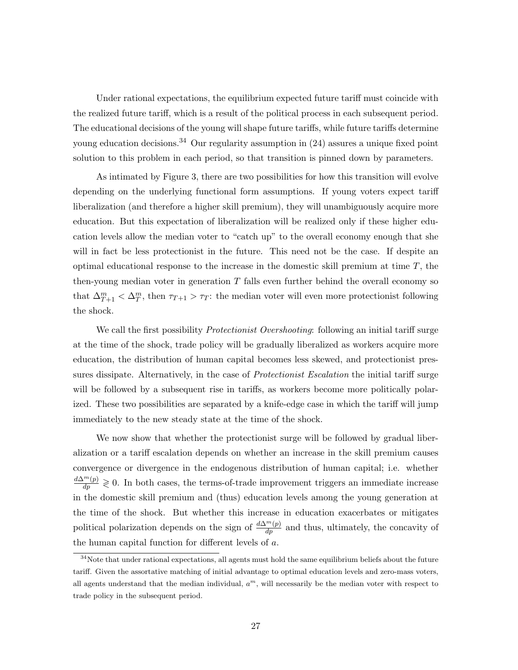Under rational expectations, the equilibrium expected future tariff must coincide with the realized future tariff, which is a result of the political process in each subsequent period. The educational decisions of the young will shape future tariffs, while future tariffs determine young education decisions.<sup>34</sup> Our regularity assumption in  $(24)$  assures a unique fixed point solution to this problem in each period, so that transition is pinned down by parameters.

As intimated by Figure 3, there are two possibilities for how this transition will evolve depending on the underlying functional form assumptions. If young voters expect tariff liberalization (and therefore a higher skill premium), they will unambiguously acquire more education. But this expectation of liberalization will be realized only if these higher education levels allow the median voter to "catch up" to the overall economy enough that she will in fact be less protectionist in the future. This need not be the case. If despite an optimal educational response to the increase in the domestic skill premium at time  $T$ , the then-young median voter in generation  $T$  falls even further behind the overall economy so that  $\Delta_{T+1}^m < \Delta_T^m$ , then  $\tau_{T+1} > \tau_T$ : the median voter will even more protectionist following the shock.

We call the first possibility *Protectionist Overshooting*: following an initial tariff surge at the time of the shock, trade policy will be gradually liberalized as workers acquire more education, the distribution of human capital becomes less skewed, and protectionist pressures dissipate. Alternatively, in the case of *Protectionist Escalation* the initial tariff surge will be followed by a subsequent rise in tariffs, as workers become more politically polarized. These two possibilities are separated by a knife-edge case in which the tariff will jump immediately to the new steady state at the time of the shock.

We now show that whether the protectionist surge will be followed by gradual liberalization or a tariff escalation depends on whether an increase in the skill premium causes convergence or divergence in the endogenous distribution of human capital; i.e. whether  $\frac{d\Delta^{m}(p)}{dp} \geq 0$ . In both cases, the terms-of-trade improvement triggers an immediate increase in the domestic skill premium and (thus) education levels among the young generation at the time of the shock. But whether this increase in education exacerbates or mitigates political polarization depends on the sign of  $\frac{d\Delta^{m}(p)}{dp}$  and thus, ultimately, the concavity of the human capital function for different levels of a.

 $34$ Note that under rational expectations, all agents must hold the same equilibrium beliefs about the future tariff. Given the assortative matching of initial advantage to optimal education levels and zero-mass voters, all agents understand that the median individual,  $a<sup>m</sup>$ , will necessarily be the median voter with respect to trade policy in the subsequent period.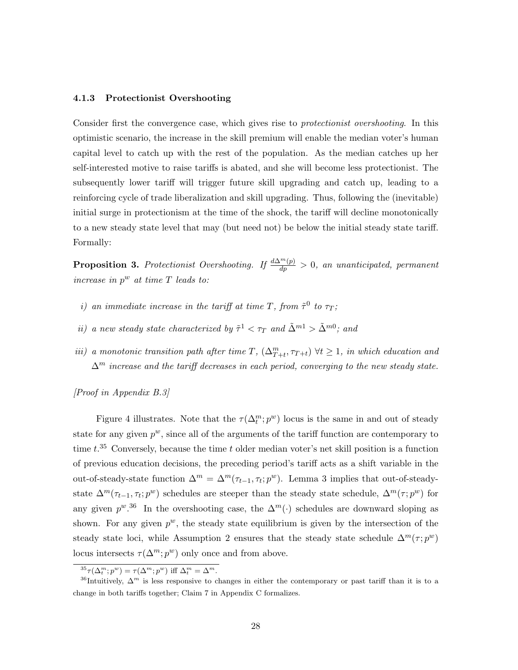#### 4.1.3 Protectionist Overshooting

Consider first the convergence case, which gives rise to protectionist overshooting. In this optimistic scenario, the increase in the skill premium will enable the median voter's human capital level to catch up with the rest of the population. As the median catches up her self-interested motive to raise tariffs is abated, and she will become less protectionist. The subsequently lower tariff will trigger future skill upgrading and catch up, leading to a reinforcing cycle of trade liberalization and skill upgrading. Thus, following the (inevitable) initial surge in protectionism at the time of the shock, the tariff will decline monotonically to a new steady state level that may (but need not) be below the initial steady state tariff. Formally:

**Proposition 3.** Protectionist Overshooting. If  $\frac{d\Delta^{m}(p)}{dp} > 0$ , an unanticipated, permanent increase in  $p^w$  at time  $T$  leads to:

- i) an immediate increase in the tariff at time T, from  $\tilde{\tau}^0$  to  $\tau_T$ ;
- ii) a new steady state characterized by  $\tilde{\tau}^1 < \tau_T$  and  $\tilde{\Delta}^{m1} > \tilde{\Delta}^{m0}$ ; and
- iii) a monotonic transition path after time  $T$ ,  $(\Delta_{T+t}^m, \tau_{T+t}) \forall t \geq 1$ , in which education and  $\Delta^m$  increase and the tariff decreases in each period, converging to the new steady state.

[Proof in Appendix B.3]

Figure 4 illustrates. Note that the  $\tau(\Delta_t^m; p^w)$  locus is the same in and out of steady state for any given  $p^w$ , since all of the arguments of the tariff function are contemporary to time  $t^{35}$  Conversely, because the time t older median voter's net skill position is a function of previous education decisions, the preceding period's tariff acts as a shift variable in the out-of-steady-state function  $\Delta^m = \Delta^m(\tau_{t-1}, \tau_t; p^w)$ . Lemma 3 implies that out-of-steadystate  $\Delta^m(\tau_{t-1}, \tau_t; p^w)$  schedules are steeper than the steady state schedule,  $\Delta^m(\tau; p^w)$  for any given  $p^{w,36}$  In the overshooting case, the  $\Delta^m(\cdot)$  schedules are downward sloping as shown. For any given  $p^w$ , the steady state equilibrium is given by the intersection of the steady state loci, while Assumption 2 ensures that the steady state schedule  $\Delta^m(\tau; p^w)$ locus intersects  $\tau(\Delta^m; p^w)$  only once and from above.

<sup>&</sup>lt;sup>35</sup> $\tau(\Delta_t^m; p^w) = \tau(\Delta^m; p^w)$  iff  $\Delta_t^m = \Delta^m$ .

<sup>&</sup>lt;sup>36</sup>Intuitively,  $\Delta^m$  is less responsive to changes in either the contemporary or past tariff than it is to a change in both tariffs together; Claim 7 in Appendix C formalizes.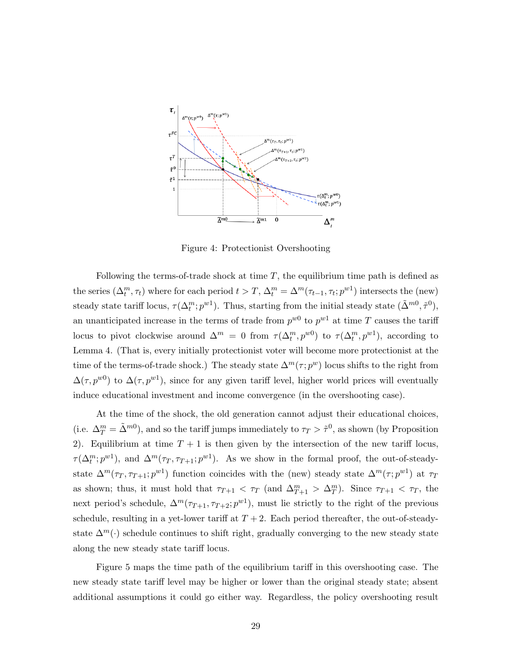

Figure 4: Protectionist Overshooting

Following the terms-of-trade shock at time  $T$ , the equilibrium time path is defined as the series  $(\Delta_t^m, \tau_t)$  where for each period  $t > T$ ,  $\Delta_t^m = \Delta^m(\tau_{t-1}, \tau_t; p^{w_1})$  intersects the (new) steady state tariff locus,  $\tau(\Delta_t^m; p^{w_1})$ . Thus, starting from the initial steady state  $(\tilde{\Delta}^{m0}, \tilde{\tau}^0)$ , an unanticipated increase in the terms of trade from  $p^{w0}$  to  $p^{w1}$  at time T causes the tariff locus to pivot clockwise around  $\Delta^m = 0$  from  $\tau(\Delta_t^m, p^{w0})$  to  $\tau(\Delta_t^m, p^{w1})$ , according to Lemma 4. (That is, every initially protectionist voter will become more protectionist at the time of the terms-of-trade shock.) The steady state  $\Delta^m(\tau; p^w)$  locus shifts to the right from  $\Delta(\tau, p^{w0})$  to  $\Delta(\tau, p^{w1})$ , since for any given tariff level, higher world prices will eventually induce educational investment and income convergence (in the overshooting case).

At the time of the shock, the old generation cannot adjust their educational choices, (i.e.  $\Delta_T^m = \tilde{\Delta}^{m0}$ ), and so the tariff jumps immediately to  $\tau_T > \tilde{\tau}^0$ , as shown (by Proposition 2). Equilibrium at time  $T + 1$  is then given by the intersection of the new tariff locus,  $\tau(\Delta_t^m; p^{w_1})$ , and  $\Delta^m(\tau_T, \tau_{T+1}; p^{w_1})$ . As we show in the formal proof, the out-of-steadystate  $\Delta^m(\tau_T, \tau_{T+1}; p^{w_1})$  function coincides with the (new) steady state  $\Delta^m(\tau; p^{w_1})$  at  $\tau_T$ as shown; thus, it must hold that  $\tau_{T+1} < \tau_T$  (and  $\Delta_{T+1}^m > \Delta_T^m$ ). Since  $\tau_{T+1} < \tau_T$ , the next period's schedule,  $\Delta^m(\tau_{T+1}, \tau_{T+2}; p^{w_1})$ , must lie strictly to the right of the previous schedule, resulting in a yet-lower tariff at  $T + 2$ . Each period thereafter, the out-of-steadystate  $\Delta^{m}(\cdot)$  schedule continues to shift right, gradually converging to the new steady state along the new steady state tariff locus.

Figure 5 maps the time path of the equilibrium tariff in this overshooting case. The new steady state tariff level may be higher or lower than the original steady state; absent additional assumptions it could go either way. Regardless, the policy overshooting result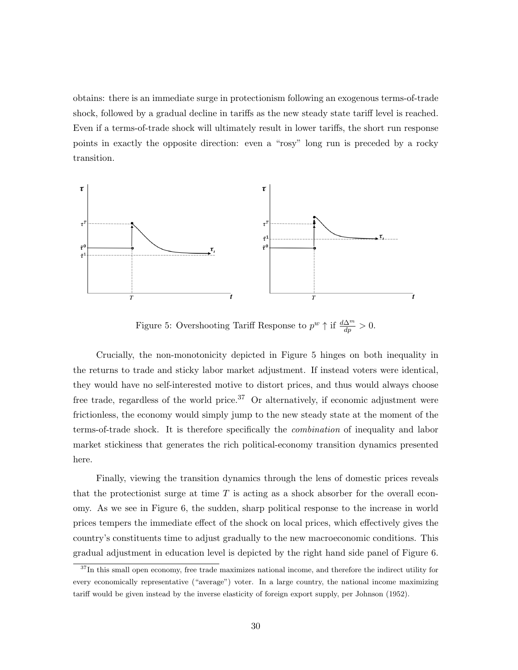obtains: there is an immediate surge in protectionism following an exogenous terms-of-trade shock, followed by a gradual decline in tariffs as the new steady state tariff level is reached. Even if a terms-of-trade shock will ultimately result in lower tariffs, the short run response points in exactly the opposite direction: even a "rosy" long run is preceded by a rocky transition.



Figure 5: Overshooting Tariff Response to  $p^w \uparrow$  if  $\frac{d\Delta^m}{dp} > 0$ .

Crucially, the non-monotonicity depicted in Figure 5 hinges on both inequality in the returns to trade and sticky labor market adjustment. If instead voters were identical, they would have no self-interested motive to distort prices, and thus would always choose free trade, regardless of the world price.<sup>37</sup> Or alternatively, if economic adjustment were frictionless, the economy would simply jump to the new steady state at the moment of the terms-of-trade shock. It is therefore specifically the combination of inequality and labor market stickiness that generates the rich political-economy transition dynamics presented here.

Finally, viewing the transition dynamics through the lens of domestic prices reveals that the protectionist surge at time  $T$  is acting as a shock absorber for the overall economy. As we see in Figure 6, the sudden, sharp political response to the increase in world prices tempers the immediate effect of the shock on local prices, which effectively gives the country's constituents time to adjust gradually to the new macroeconomic conditions. This gradual adjustment in education level is depicted by the right hand side panel of Figure 6.

 $37$ In this small open economy, free trade maximizes national income, and therefore the indirect utility for every economically representative ("average") voter. In a large country, the national income maximizing tariff would be given instead by the inverse elasticity of foreign export supply, per Johnson (1952).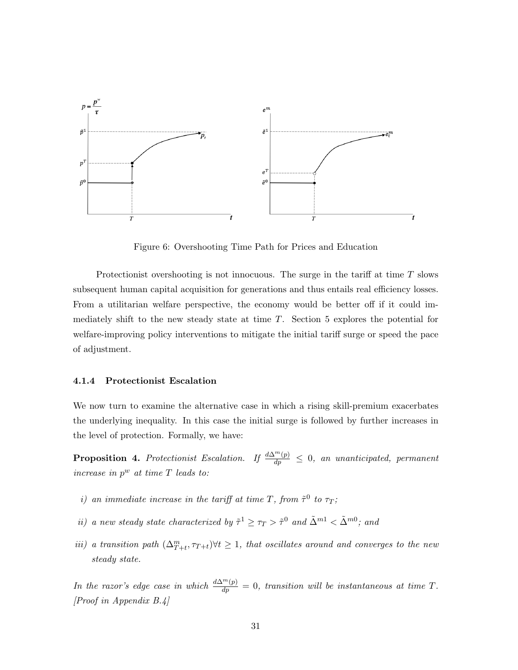

Figure 6: Overshooting Time Path for Prices and Education

Protectionist overshooting is not innocuous. The surge in the tariff at time T slows subsequent human capital acquisition for generations and thus entails real efficiency losses. From a utilitarian welfare perspective, the economy would be better off if it could immediately shift to the new steady state at time T. Section 5 explores the potential for welfare-improving policy interventions to mitigate the initial tariff surge or speed the pace of adjustment.

#### 4.1.4 Protectionist Escalation

We now turn to examine the alternative case in which a rising skill-premium exacerbates the underlying inequality. In this case the initial surge is followed by further increases in the level of protection. Formally, we have:

**Proposition 4.** Protectionist Escalation. If  $\frac{d\Delta^m(p)}{dp} \leq 0$ , an unanticipated, permanent increase in  $p^w$  at time  $T$  leads to:

- i) an immediate increase in the tariff at time T, from  $\tilde{\tau}^0$  to  $\tau_T$ ;
- ii) a new steady state characterized by  $\tilde{\tau}^1 \geq \tau_T > \tilde{\tau}^0$  and  $\tilde{\Delta}^{m1} < \tilde{\Delta}^{m0}$ ; and
- iii) a transition path  $(\Delta_{T+t}^m, \tau_{T+t}) \forall t \geq 1$ , that oscillates around and converges to the new steady state.

In the razor's edge case in which  $\frac{d\Delta^m(p)}{dp} = 0$ , transition will be instantaneous at time T. [Proof in Appendix B.4]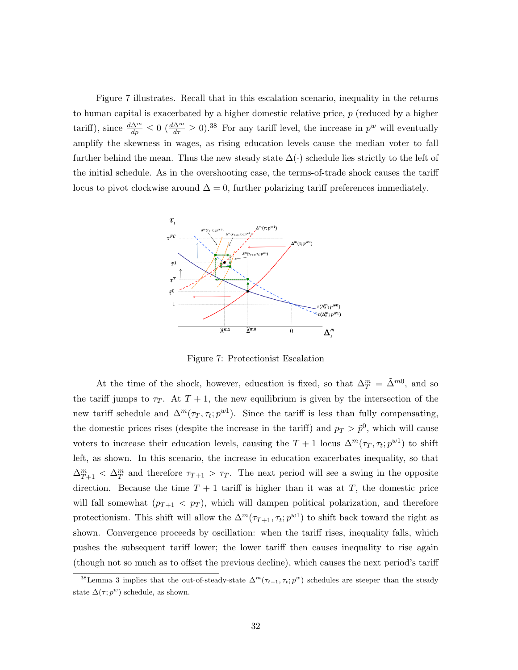Figure 7 illustrates. Recall that in this escalation scenario, inequality in the returns to human capital is exacerbated by a higher domestic relative price, p (reduced by a higher tariff), since  $\frac{d\Delta^m}{dp} \leq 0$   $(\frac{d\Delta^m}{d\tau} \geq 0).^{38}$  For any tariff level, the increase in  $p^w$  will eventually amplify the skewness in wages, as rising education levels cause the median voter to fall further behind the mean. Thus the new steady state  $\Delta(\cdot)$  schedule lies strictly to the left of the initial schedule. As in the overshooting case, the terms-of-trade shock causes the tariff locus to pivot clockwise around  $\Delta = 0$ , further polarizing tariff preferences immediately.



Figure 7: Protectionist Escalation

At the time of the shock, however, education is fixed, so that  $\Delta_T^m = \tilde{\Delta}^{m0}$ , and so the tariff jumps to  $\tau_T$ . At  $T + 1$ , the new equilibrium is given by the intersection of the new tariff schedule and  $\Delta^m(\tau_T, \tau_t; p^{w_1})$ . Since the tariff is less than fully compensating, the domestic prices rises (despite the increase in the tariff) and  $p_T > \tilde{p}^0$ , which will cause voters to increase their education levels, causing the  $T+1$  locus  $\Delta^m(\tau_T, \tau_t; p^{w_1})$  to shift left, as shown. In this scenario, the increase in education exacerbates inequality, so that  $\Delta_{T+1}^m < \Delta_T^m$  and therefore  $\tau_{T+1} > \tau_T$ . The next period will see a swing in the opposite direction. Because the time  $T + 1$  tariff is higher than it was at T, the domestic price will fall somewhat  $(p_{T+1} < p_T)$ , which will dampen political polarization, and therefore protectionism. This shift will allow the  $\Delta^m(\tau_{T+1}, \tau_t; p^{w_1})$  to shift back toward the right as shown. Convergence proceeds by oscillation: when the tariff rises, inequality falls, which pushes the subsequent tariff lower; the lower tariff then causes inequality to rise again (though not so much as to offset the previous decline), which causes the next period's tariff

<sup>&</sup>lt;sup>38</sup>Lemma 3 implies that the out-of-steady-state  $\Delta^m(\tau_{t-1}, \tau_t; p^w)$  schedules are steeper than the steady state  $\Delta(\tau;p^w)$  schedule, as shown.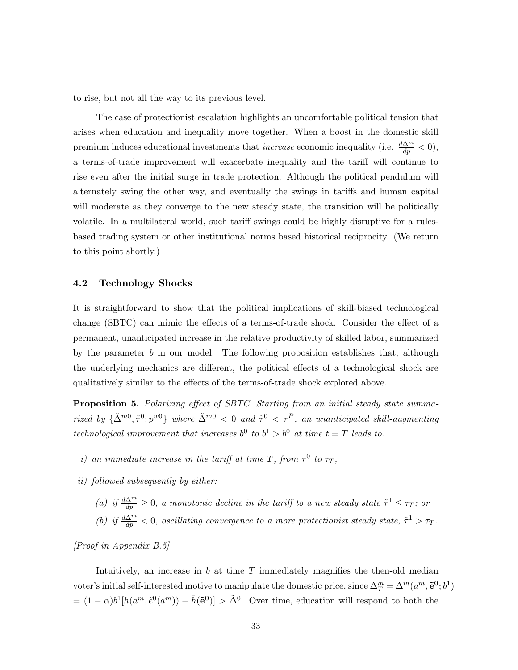to rise, but not all the way to its previous level.

The case of protectionist escalation highlights an uncomfortable political tension that arises when education and inequality move together. When a boost in the domestic skill premium induces educational investments that *increase* economic inequality (i.e.  $\frac{d\Delta^m}{dp} < 0$ ), a terms-of-trade improvement will exacerbate inequality and the tariff will continue to rise even after the initial surge in trade protection. Although the political pendulum will alternately swing the other way, and eventually the swings in tariffs and human capital will moderate as they converge to the new steady state, the transition will be politically volatile. In a multilateral world, such tariff swings could be highly disruptive for a rulesbased trading system or other institutional norms based historical reciprocity. (We return to this point shortly.)

#### 4.2 Technology Shocks

It is straightforward to show that the political implications of skill-biased technological change (SBTC) can mimic the effects of a terms-of-trade shock. Consider the effect of a permanent, unanticipated increase in the relative productivity of skilled labor, summarized by the parameter  $b$  in our model. The following proposition establishes that, although the underlying mechanics are different, the political effects of a technological shock are qualitatively similar to the effects of the terms-of-trade shock explored above.

Proposition 5. Polarizing effect of SBTC. Starting from an initial steady state summarized by  $\{\tilde{\Delta}^{m0}, \tilde{\tau}^0; p^{w0}\}\$  where  $\tilde{\Delta}^{m0} < 0$  and  $\tilde{\tau}^0 < \tau^P$ , an unanticipated skill-augmenting technological improvement that increases  $b^0$  to  $b^1 > b^0$  at time  $t = T$  leads to:

- i) an immediate increase in the tariff at time T, from  $\tilde{\tau}^0$  to  $\tau_T$ ,
- ii) followed subsequently by either:
	- (a) if  $\frac{d\Delta^m}{dp} \geq 0$ , a monotonic decline in the tariff to a new steady state  $\tilde{\tau}^1 \leq \tau_T$ ; or (b) if  $\frac{d\Delta^m}{dp} < 0$ , oscillating convergence to a more protectionist steady state,  $\tilde{\tau}^1 > \tau_T$ .

[Proof in Appendix B.5]

Intuitively, an increase in  $b$  at time  $T$  immediately magnifies the then-old median voter's initial self-interested motive to manipulate the domestic price, since  $\Delta_T^m = \Delta^m(a^m, \tilde{\mathbf{e}}^0; b^1)$  $= (1 - \alpha)b^1[h(a^m, \tilde{e}^0(a^m)) - \bar{h}(\tilde{e}^0)] > \tilde{\Delta}^0$ . Over time, education will respond to both the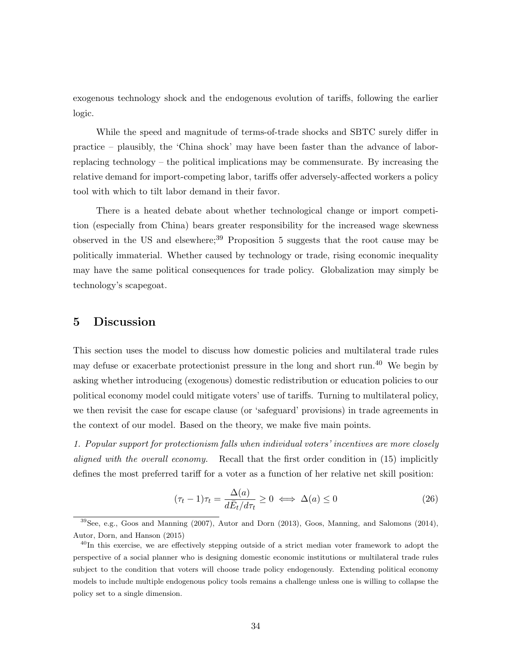exogenous technology shock and the endogenous evolution of tariffs, following the earlier logic.

While the speed and magnitude of terms-of-trade shocks and SBTC surely differ in practice – plausibly, the 'China shock' may have been faster than the advance of laborreplacing technology – the political implications may be commensurate. By increasing the relative demand for import-competing labor, tariffs offer adversely-affected workers a policy tool with which to tilt labor demand in their favor.

There is a heated debate about whether technological change or import competition (especially from China) bears greater responsibility for the increased wage skewness observed in the US and elsewhere;<sup>39</sup> Proposition 5 suggests that the root cause may be politically immaterial. Whether caused by technology or trade, rising economic inequality may have the same political consequences for trade policy. Globalization may simply be technology's scapegoat.

# 5 Discussion

This section uses the model to discuss how domestic policies and multilateral trade rules may defuse or exacerbate protectionist pressure in the long and short run.<sup>40</sup> We begin by asking whether introducing (exogenous) domestic redistribution or education policies to our political economy model could mitigate voters' use of tariffs. Turning to multilateral policy, we then revisit the case for escape clause (or 'safeguard' provisions) in trade agreements in the context of our model. Based on the theory, we make five main points.

1. Popular support for protectionism falls when individual voters' incentives are more closely aligned with the overall economy. Recall that the first order condition in (15) implicitly defines the most preferred tariff for a voter as a function of her relative net skill position:

$$
(\tau_t - 1)\tau_t = \frac{\Delta(a)}{d\bar{E}_t/d\tau_t} \ge 0 \iff \Delta(a) \le 0 \tag{26}
$$

<sup>39</sup>See, e.g., Goos and Manning (2007), Autor and Dorn (2013), Goos, Manning, and Salomons (2014), Autor, Dorn, and Hanson (2015)

<sup>&</sup>lt;sup>40</sup>In this exercise, we are effectively stepping outside of a strict median voter framework to adopt the perspective of a social planner who is designing domestic economic institutions or multilateral trade rules subject to the condition that voters will choose trade policy endogenously. Extending political economy models to include multiple endogenous policy tools remains a challenge unless one is willing to collapse the policy set to a single dimension.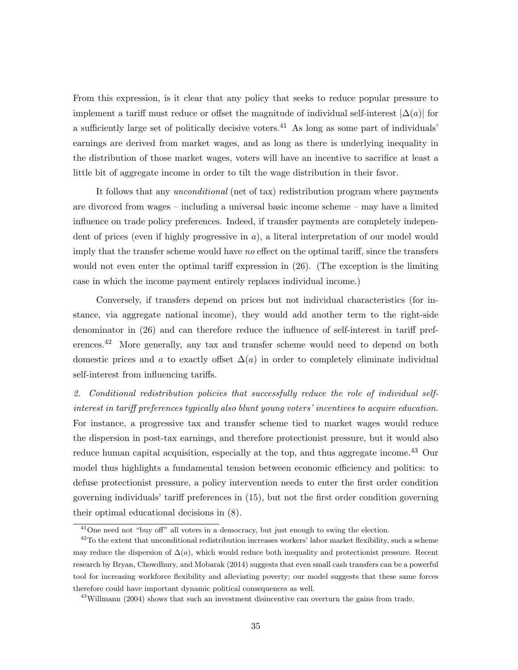From this expression, is it clear that any policy that seeks to reduce popular pressure to implement a tariff must reduce or offset the magnitude of individual self-interest  $|\Delta(a)|$  for a sufficiently large set of politically decisive voters.<sup>41</sup> As long as some part of individuals' earnings are derived from market wages, and as long as there is underlying inequality in the distribution of those market wages, voters will have an incentive to sacrifice at least a little bit of aggregate income in order to tilt the wage distribution in their favor.

It follows that any unconditional (net of tax) redistribution program where payments are divorced from wages – including a universal basic income scheme – may have a limited influence on trade policy preferences. Indeed, if transfer payments are completely independent of prices (even if highly progressive in  $a$ ), a literal interpretation of our model would imply that the transfer scheme would have *no* effect on the optimal tariff, since the transfers would not even enter the optimal tariff expression in (26). (The exception is the limiting case in which the income payment entirely replaces individual income.)

Conversely, if transfers depend on prices but not individual characteristics (for instance, via aggregate national income), they would add another term to the right-side denominator in (26) and can therefore reduce the influence of self-interest in tariff preferences.<sup>42</sup> More generally, any tax and transfer scheme would need to depend on both domestic prices and a to exactly offset  $\Delta(a)$  in order to completely eliminate individual self-interest from influencing tariffs.

2. Conditional redistribution policies that successfully reduce the role of individual selfinterest in tariff preferences typically also blunt young voters' incentives to acquire education. For instance, a progressive tax and transfer scheme tied to market wages would reduce the dispersion in post-tax earnings, and therefore protectionist pressure, but it would also reduce human capital acquisition, especially at the top, and thus aggregate income.<sup>43</sup> Our model thus highlights a fundamental tension between economic efficiency and politics: to defuse protectionist pressure, a policy intervention needs to enter the first order condition governing individuals' tariff preferences in (15), but not the first order condition governing their optimal educational decisions in (8).

<sup>&</sup>lt;sup>41</sup>One need not "buy off" all voters in a democracy, but just enough to swing the election.

 $42$ To the extent that unconditional redistribution increases workers' labor market flexibility, such a scheme may reduce the dispersion of  $\Delta(a)$ , which would reduce both inequality and protectionist pressure. Recent research by Bryan, Chowdhury, and Mobarak (2014) suggests that even small cash transfers can be a powerful tool for increasing workforce flexibility and alleviating poverty; our model suggests that these same forces therefore could have important dynamic political consequences as well.

<sup>&</sup>lt;sup>43</sup>Willmann (2004) shows that such an investment disincentive can overturn the gains from trade.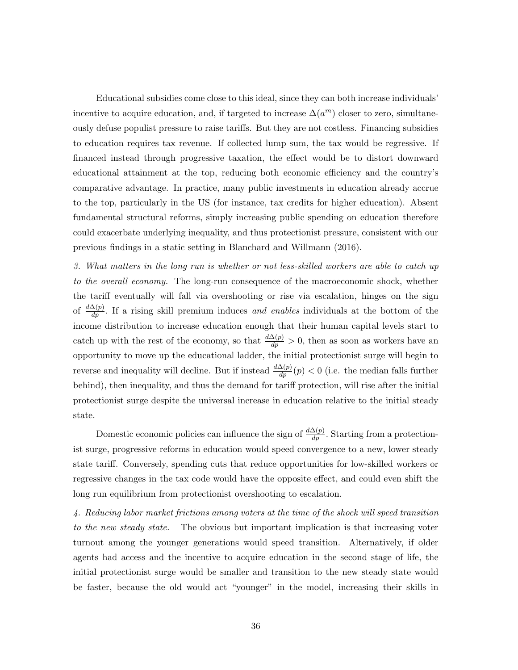Educational subsidies come close to this ideal, since they can both increase individuals' incentive to acquire education, and, if targeted to increase  $\Delta(a^m)$  closer to zero, simultaneously defuse populist pressure to raise tariffs. But they are not costless. Financing subsidies to education requires tax revenue. If collected lump sum, the tax would be regressive. If financed instead through progressive taxation, the effect would be to distort downward educational attainment at the top, reducing both economic efficiency and the country's comparative advantage. In practice, many public investments in education already accrue to the top, particularly in the US (for instance, tax credits for higher education). Absent fundamental structural reforms, simply increasing public spending on education therefore could exacerbate underlying inequality, and thus protectionist pressure, consistent with our previous findings in a static setting in Blanchard and Willmann (2016).

3. What matters in the long run is whether or not less-skilled workers are able to catch up to the overall economy. The long-run consequence of the macroeconomic shock, whether the tariff eventually will fall via overshooting or rise via escalation, hinges on the sign of  $\frac{d\Delta(p)}{dp}$ . If a rising skill premium induces and enables individuals at the bottom of the income distribution to increase education enough that their human capital levels start to catch up with the rest of the economy, so that  $\frac{d\Delta(p)}{dp} > 0$ , then as soon as workers have an opportunity to move up the educational ladder, the initial protectionist surge will begin to reverse and inequality will decline. But if instead  $\frac{d\Delta(p)}{dp}(p) < 0$  (i.e. the median falls further behind), then inequality, and thus the demand for tariff protection, will rise after the initial protectionist surge despite the universal increase in education relative to the initial steady state.

Domestic economic policies can influence the sign of  $\frac{d\Delta(p)}{dp}$ . Starting from a protectionist surge, progressive reforms in education would speed convergence to a new, lower steady state tariff. Conversely, spending cuts that reduce opportunities for low-skilled workers or regressive changes in the tax code would have the opposite effect, and could even shift the long run equilibrium from protectionist overshooting to escalation.

4. Reducing labor market frictions among voters at the time of the shock will speed transition to the new steady state. The obvious but important implication is that increasing voter turnout among the younger generations would speed transition. Alternatively, if older agents had access and the incentive to acquire education in the second stage of life, the initial protectionist surge would be smaller and transition to the new steady state would be faster, because the old would act "younger" in the model, increasing their skills in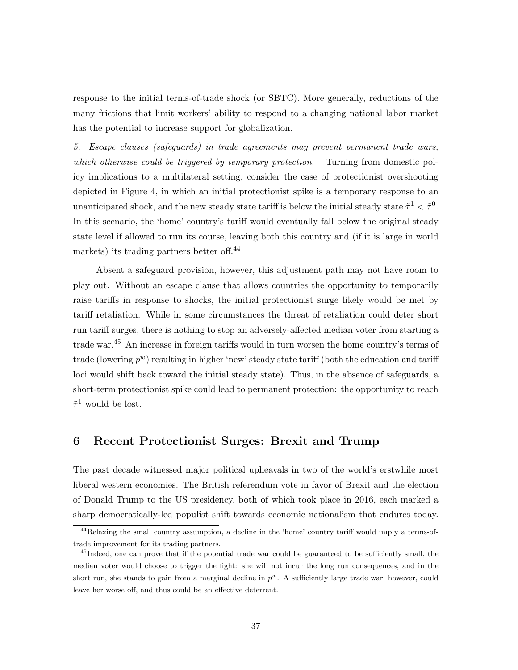response to the initial terms-of-trade shock (or SBTC). More generally, reductions of the many frictions that limit workers' ability to respond to a changing national labor market has the potential to increase support for globalization.

5. Escape clauses (safeguards) in trade agreements may prevent permanent trade wars, which otherwise could be triggered by temporary protection. Turning from domestic policy implications to a multilateral setting, consider the case of protectionist overshooting depicted in Figure 4, in which an initial protectionist spike is a temporary response to an unanticipated shock, and the new steady state tariff is below the initial steady state  $\tilde{\tau}^1 < \tilde{\tau}^0$ . In this scenario, the 'home' country's tariff would eventually fall below the original steady state level if allowed to run its course, leaving both this country and (if it is large in world markets) its trading partners better off.<sup>44</sup>

Absent a safeguard provision, however, this adjustment path may not have room to play out. Without an escape clause that allows countries the opportunity to temporarily raise tariffs in response to shocks, the initial protectionist surge likely would be met by tariff retaliation. While in some circumstances the threat of retaliation could deter short run tariff surges, there is nothing to stop an adversely-affected median voter from starting a trade war.<sup>45</sup> An increase in foreign tariffs would in turn worsen the home country's terms of trade (lowering  $p^w$ ) resulting in higher 'new' steady state tariff (both the education and tariff loci would shift back toward the initial steady state). Thus, in the absence of safeguards, a short-term protectionist spike could lead to permanent protection: the opportunity to reach  $\tilde{\tau}^1$  would be lost.

# 6 Recent Protectionist Surges: Brexit and Trump

The past decade witnessed major political upheavals in two of the world's erstwhile most liberal western economies. The British referendum vote in favor of Brexit and the election of Donald Trump to the US presidency, both of which took place in 2016, each marked a sharp democratically-led populist shift towards economic nationalism that endures today.

<sup>44</sup>Relaxing the small country assumption, a decline in the 'home' country tariff would imply a terms-oftrade improvement for its trading partners.

<sup>&</sup>lt;sup>45</sup>Indeed, one can prove that if the potential trade war could be guaranteed to be sufficiently small, the median voter would choose to trigger the fight: she will not incur the long run consequences, and in the short run, she stands to gain from a marginal decline in  $p^w$ . A sufficiently large trade war, however, could leave her worse off, and thus could be an effective deterrent.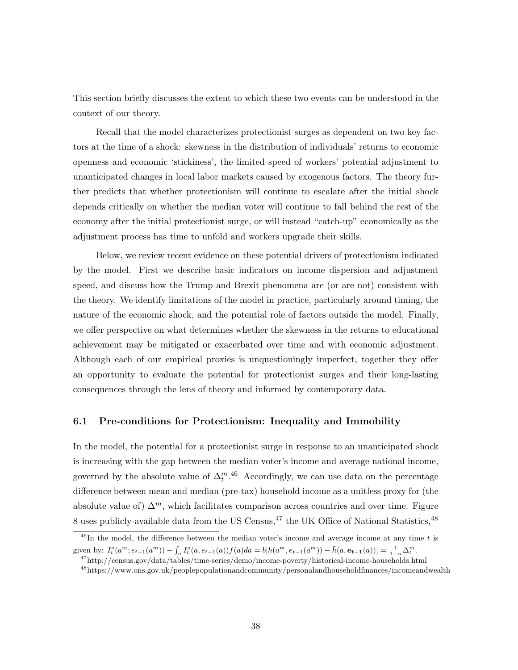This section briefly discusses the extent to which these two events can be understood in the context of our theory.

Recall that the model characterizes protectionist surges as dependent on two key factors at the time of a shock: skewness in the distribution of individuals' returns to economic openness and economic 'stickiness', the limited speed of workers' potential adjustment to unanticipated changes in local labor markets caused by exogenous factors. The theory further predicts that whether protectionism will continue to escalate after the initial shock depends critically on whether the median voter will continue to fall behind the rest of the economy after the initial protectionist surge, or will instead "catch-up" economically as the adjustment process has time to unfold and workers upgrade their skills.

Below, we review recent evidence on these potential drivers of protectionism indicated by the model. First we describe basic indicators on income dispersion and adjustment speed, and discuss how the Trump and Brexit phenomena are (or are not) consistent with the theory. We identify limitations of the model in practice, particularly around timing, the nature of the economic shock, and the potential role of factors outside the model. Finally, we offer perspective on what determines whether the skewness in the returns to educational achievement may be mitigated or exacerbated over time and with economic adjustment. Although each of our empirical proxies is unquestioningly imperfect, together they offer an opportunity to evaluate the potential for protectionist surges and their long-lasting consequences through the lens of theory and informed by contemporary data.

# 6.1 Pre-conditions for Protectionism: Inequality and Immobility

In the model, the potential for a protectionist surge in response to an unanticipated shock is increasing with the gap between the median voter's income and average national income, governed by the absolute value of  $\Delta_t^{m,46}$  Accordingly, we can use data on the percentage difference between mean and median (pre-tax) household income as a unitless proxy for (the absolute value of)  $\Delta^m$ , which facilitates comparison across countries and over time. Figure 8 uses publicly-available data from the US Census,  $47$  the UK Office of National Statistics,  $48$ 

 $^{46}$ In the model, the difference between the median voter's income and average income at any time t is given by:  $I_t^o(a^m; e_{t-1}(a^m)) - \int_a I_t^o(a, e_{t-1}(a)) f(a)da = b[h(a^m, e_{t-1}(a^m)) - \bar{h}(a, e_{t-1}(a))] = \frac{1}{1-\alpha} \Delta_t^m$ .

<sup>47</sup>http://census.gov/data/tables/time-series/demo/income-poverty/historical-income-households.html <sup>48</sup>https://www.ons.gov.uk/peoplepopulationandcommunity/personalandhouseholdfinances/incomeandwealth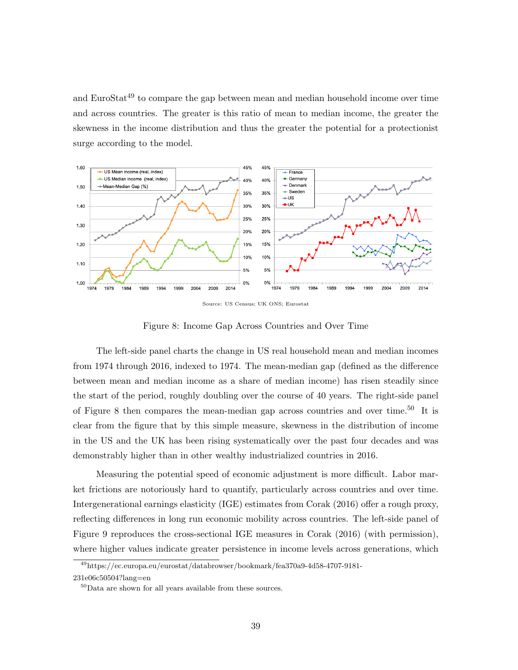and EuroStat<sup>49</sup> to compare the gap between mean and median household income over time and across countries. The greater is this ratio of mean to median income, the greater the skewness in the income distribution and thus the greater the potential for a protectionist surge according to the model.



Source: US Census; UK ONS; Eurostat

Figure 8: Income Gap Across Countries and Over Time

The left-side panel charts the change in US real household mean and median incomes from 1974 through 2016, indexed to 1974. The mean-median gap (defined as the difference between mean and median income as a share of median income) has risen steadily since the start of the period, roughly doubling over the course of 40 years. The right-side panel of Figure 8 then compares the mean-median gap across countries and over time.<sup>50</sup> It is clear from the figure that by this simple measure, skewness in the distribution of income in the US and the UK has been rising systematically over the past four decades and was demonstrably higher than in other wealthy industrialized countries in 2016.

Measuring the potential speed of economic adjustment is more difficult. Labor market frictions are notoriously hard to quantify, particularly across countries and over time. Intergenerational earnings elasticity (IGE) estimates from Corak (2016) offer a rough proxy, reflecting differences in long run economic mobility across countries. The left-side panel of Figure 9 reproduces the cross-sectional IGE measures in Corak (2016) (with permission), where higher values indicate greater persistence in income levels across generations, which

<sup>49</sup>https://ec.europa.eu/eurostat/databrowser/bookmark/fea370a9-4d58-4707-9181- 231e06c50504?lang=en

 ${}^{50}$ Data are shown for all years available from these sources.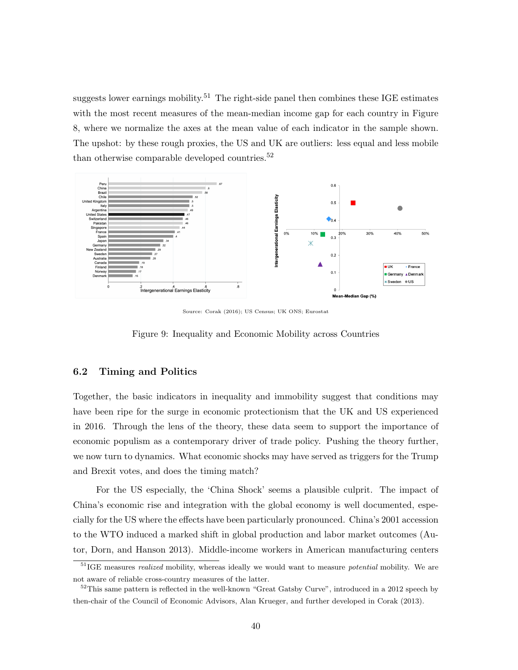suggests lower earnings mobility.<sup>51</sup> The right-side panel then combines these IGE estimates with the most recent measures of the mean-median income gap for each country in Figure 8, where we normalize the axes at the mean value of each indicator in the sample shown. The upshot: by these rough proxies, the US and UK are outliers: less equal and less mobile than otherwise comparable developed countries.<sup>52</sup>



Source: Corak (2016); US Census; UK ONS; Eurostat

Figure 9: Inequality and Economic Mobility across Countries

# 6.2 Timing and Politics

Together, the basic indicators in inequality and immobility suggest that conditions may have been ripe for the surge in economic protectionism that the UK and US experienced in 2016. Through the lens of the theory, these data seem to support the importance of economic populism as a contemporary driver of trade policy. Pushing the theory further, we now turn to dynamics. What economic shocks may have served as triggers for the Trump and Brexit votes, and does the timing match?

For the US especially, the 'China Shock' seems a plausible culprit. The impact of China's economic rise and integration with the global economy is well documented, especially for the US where the effects have been particularly pronounced. China's 2001 accession to the WTO induced a marked shift in global production and labor market outcomes (Autor, Dorn, and Hanson 2013). Middle-income workers in American manufacturing centers

<sup>&</sup>lt;sup>51</sup>IGE measures *realized* mobility, whereas ideally we would want to measure *potential* mobility. We are not aware of reliable cross-country measures of the latter.

<sup>52</sup>This same pattern is reflected in the well-known "Great Gatsby Curve", introduced in a 2012 speech by then-chair of the Council of Economic Advisors, Alan Krueger, and further developed in Corak (2013).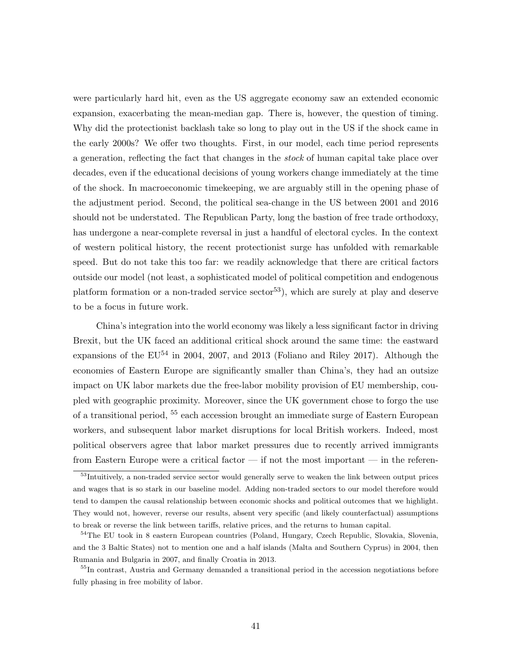were particularly hard hit, even as the US aggregate economy saw an extended economic expansion, exacerbating the mean-median gap. There is, however, the question of timing. Why did the protectionist backlash take so long to play out in the US if the shock came in the early 2000s? We offer two thoughts. First, in our model, each time period represents a generation, reflecting the fact that changes in the stock of human capital take place over decades, even if the educational decisions of young workers change immediately at the time of the shock. In macroeconomic timekeeping, we are arguably still in the opening phase of the adjustment period. Second, the political sea-change in the US between 2001 and 2016 should not be understated. The Republican Party, long the bastion of free trade orthodoxy, has undergone a near-complete reversal in just a handful of electoral cycles. In the context of western political history, the recent protectionist surge has unfolded with remarkable speed. But do not take this too far: we readily acknowledge that there are critical factors outside our model (not least, a sophisticated model of political competition and endogenous platform formation or a non-traded service sector<sup>53</sup>), which are surely at play and deserve to be a focus in future work.

China's integration into the world economy was likely a less significant factor in driving Brexit, but the UK faced an additional critical shock around the same time: the eastward expansions of the  $EU^{54}$  in 2004, 2007, and 2013 (Foliano and Riley 2017). Although the economies of Eastern Europe are significantly smaller than China's, they had an outsize impact on UK labor markets due the free-labor mobility provision of EU membership, coupled with geographic proximity. Moreover, since the UK government chose to forgo the use of a transitional period, <sup>55</sup> each accession brought an immediate surge of Eastern European workers, and subsequent labor market disruptions for local British workers. Indeed, most political observers agree that labor market pressures due to recently arrived immigrants from Eastern Europe were a critical factor — if not the most important — in the referen-

<sup>&</sup>lt;sup>53</sup>Intuitively, a non-traded service sector would generally serve to weaken the link between output prices and wages that is so stark in our baseline model. Adding non-traded sectors to our model therefore would tend to dampen the causal relationship between economic shocks and political outcomes that we highlight. They would not, however, reverse our results, absent very specific (and likely counterfactual) assumptions to break or reverse the link between tariffs, relative prices, and the returns to human capital.

<sup>54</sup>The EU took in 8 eastern European countries (Poland, Hungary, Czech Republic, Slovakia, Slovenia, and the 3 Baltic States) not to mention one and a half islands (Malta and Southern Cyprus) in 2004, then Rumania and Bulgaria in 2007, and finally Croatia in 2013.

<sup>&</sup>lt;sup>55</sup>In contrast, Austria and Germany demanded a transitional period in the accession negotiations before fully phasing in free mobility of labor.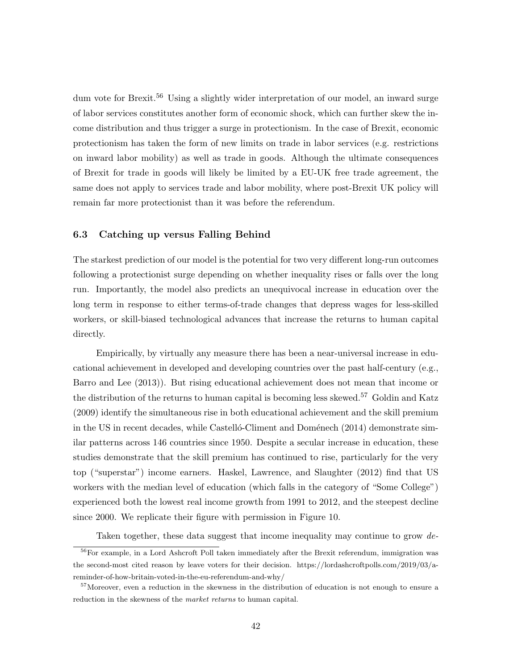dum vote for Brexit.<sup>56</sup> Using a slightly wider interpretation of our model, an inward surge of labor services constitutes another form of economic shock, which can further skew the income distribution and thus trigger a surge in protectionism. In the case of Brexit, economic protectionism has taken the form of new limits on trade in labor services (e.g. restrictions on inward labor mobility) as well as trade in goods. Although the ultimate consequences of Brexit for trade in goods will likely be limited by a EU-UK free trade agreement, the same does not apply to services trade and labor mobility, where post-Brexit UK policy will remain far more protectionist than it was before the referendum.

## 6.3 Catching up versus Falling Behind

The starkest prediction of our model is the potential for two very different long-run outcomes following a protectionist surge depending on whether inequality rises or falls over the long run. Importantly, the model also predicts an unequivocal increase in education over the long term in response to either terms-of-trade changes that depress wages for less-skilled workers, or skill-biased technological advances that increase the returns to human capital directly.

Empirically, by virtually any measure there has been a near-universal increase in educational achievement in developed and developing countries over the past half-century (e.g., Barro and Lee (2013)). But rising educational achievement does not mean that income or the distribution of the returns to human capital is becoming less skewed.<sup>57</sup> Goldin and Katz (2009) identify the simultaneous rise in both educational achievement and the skill premium in the US in recent decades, while Castello-Climent and Domenech  $(2014)$  demonstrate similar patterns across 146 countries since 1950. Despite a secular increase in education, these studies demonstrate that the skill premium has continued to rise, particularly for the very top ("superstar") income earners. Haskel, Lawrence, and Slaughter (2012) find that US workers with the median level of education (which falls in the category of "Some College") experienced both the lowest real income growth from 1991 to 2012, and the steepest decline since 2000. We replicate their figure with permission in Figure 10.

Taken together, these data suggest that income inequality may continue to grow de-

<sup>&</sup>lt;sup>56</sup>For example, in a Lord Ashcroft Poll taken immediately after the Brexit referendum, immigration was the second-most cited reason by leave voters for their decision. https://lordashcroftpolls.com/2019/03/areminder-of-how-britain-voted-in-the-eu-referendum-and-why/

<sup>&</sup>lt;sup>57</sup>Moreover, even a reduction in the skewness in the distribution of education is not enough to ensure a reduction in the skewness of the market returns to human capital.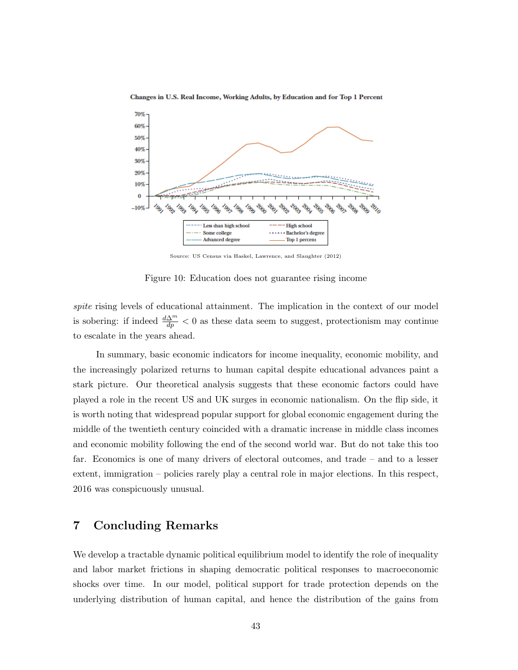

Changes in U.S. Real Income, Working Adults, by Education and for Top 1 Percent

Source: US Census via Haskel, Lawrence, and Slaughter (2012)

Figure 10: Education does not guarantee rising income

spite rising levels of educational attainment. The implication in the context of our model is sobering: if indeed  $\frac{d\Delta^m}{dp} < 0$  as these data seem to suggest, protectionism may continue to escalate in the years ahead.

In summary, basic economic indicators for income inequality, economic mobility, and the increasingly polarized returns to human capital despite educational advances paint a stark picture. Our theoretical analysis suggests that these economic factors could have played a role in the recent US and UK surges in economic nationalism. On the flip side, it is worth noting that widespread popular support for global economic engagement during the middle of the twentieth century coincided with a dramatic increase in middle class incomes and economic mobility following the end of the second world war. But do not take this too far. Economics is one of many drivers of electoral outcomes, and trade – and to a lesser extent, immigration – policies rarely play a central role in major elections. In this respect, 2016 was conspicuously unusual.

# 7 Concluding Remarks

We develop a tractable dynamic political equilibrium model to identify the role of inequality and labor market frictions in shaping democratic political responses to macroeconomic shocks over time. In our model, political support for trade protection depends on the underlying distribution of human capital, and hence the distribution of the gains from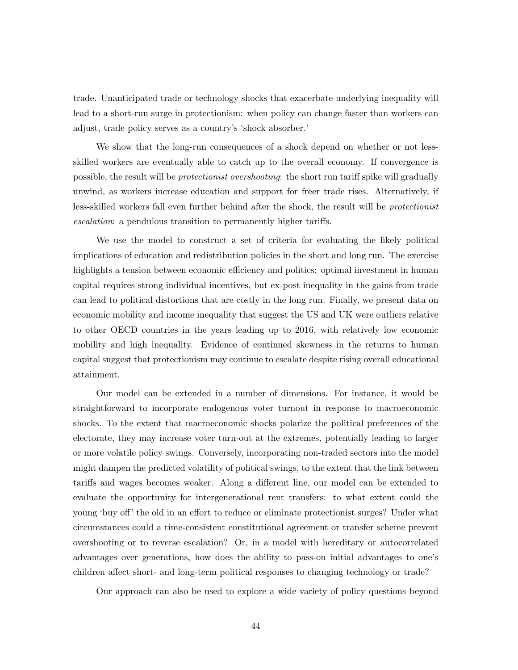trade. Unanticipated trade or technology shocks that exacerbate underlying inequality will lead to a short-run surge in protectionism: when policy can change faster than workers can adjust, trade policy serves as a country's 'shock absorber.'

We show that the long-run consequences of a shock depend on whether or not lessskilled workers are eventually able to catch up to the overall economy. If convergence is possible, the result will be protectionist overshooting: the short run tariff spike will gradually unwind, as workers increase education and support for freer trade rises. Alternatively, if less-skilled workers fall even further behind after the shock, the result will be protectionist escalation: a pendulous transition to permanently higher tariffs.

We use the model to construct a set of criteria for evaluating the likely political implications of education and redistribution policies in the short and long run. The exercise highlights a tension between economic efficiency and politics: optimal investment in human capital requires strong individual incentives, but ex-post inequality in the gains from trade can lead to political distortions that are costly in the long run. Finally, we present data on economic mobility and income inequality that suggest the US and UK were outliers relative to other OECD countries in the years leading up to 2016, with relatively low economic mobility and high inequality. Evidence of continued skewness in the returns to human capital suggest that protectionism may continue to escalate despite rising overall educational attainment.

Our model can be extended in a number of dimensions. For instance, it would be straightforward to incorporate endogenous voter turnout in response to macroeconomic shocks. To the extent that macroeconomic shocks polarize the political preferences of the electorate, they may increase voter turn-out at the extremes, potentially leading to larger or more volatile policy swings. Conversely, incorporating non-traded sectors into the model might dampen the predicted volatility of political swings, to the extent that the link between tariffs and wages becomes weaker. Along a different line, our model can be extended to evaluate the opportunity for intergenerational rent transfers: to what extent could the young 'buy off' the old in an effort to reduce or eliminate protectionist surges? Under what circumstances could a time-consistent constitutional agreement or transfer scheme prevent overshooting or to reverse escalation? Or, in a model with hereditary or autocorrelated advantages over generations, how does the ability to pass-on initial advantages to one's children affect short- and long-term political responses to changing technology or trade?

Our approach can also be used to explore a wide variety of policy questions beyond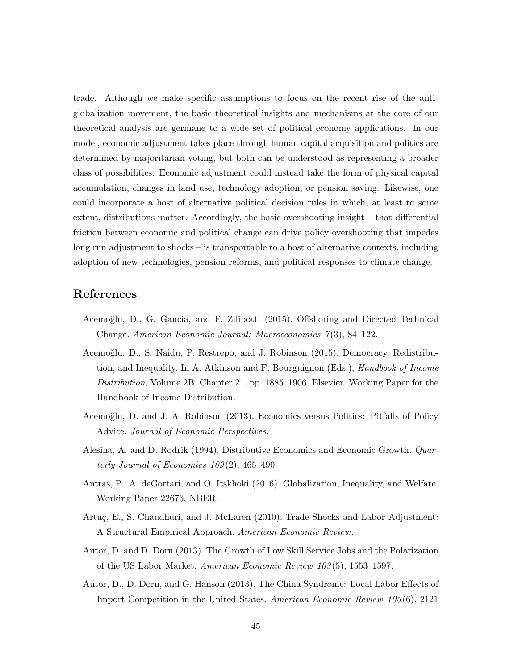trade. Although we make specific assumptions to focus on the recent rise of the antiglobalization movement, the basic theoretical insights and mechanisms at the core of our theoretical analysis are germane to a wide set of political economy applications. In our model, economic adjustment takes place through human capital acquisition and politics are determined by majoritarian voting, but both can be understood as representing a broader class of possibilities. Economic adjustment could instead take the form of physical capital accumulation, changes in land use, technology adoption, or pension saving. Likewise, one could incorporate a host of alternative political decision rules in which, at least to some extent, distributions matter. Accordingly, the basic overshooting insight – that differential friction between economic and political change can drive policy overshooting that impedes long run adjustment to shocks – is transportable to a host of alternative contexts, including adoption of new technologies, pension reforms, and political responses to climate change.

# References

- Acemo˘glu, D., G. Gancia, and F. Zilibotti (2015). Offshoring and Directed Technical Change. American Economic Journal: Macroeconomics 7 (3), 84–122.
- Acemo˘glu, D., S. Naidu, P. Restrepo, and J. Robinson (2015). Democracy, Redistribution, and Inequality. In A. Atkinson and F. Bourguignon (Eds.), Handbook of Income Distribution, Volume 2B, Chapter 21, pp. 1885–1906. Elsevier. Working Paper for the Handbook of Income Distribution.
- Acemo˘glu, D. and J. A. Robinson (2013). Economics versus Politics: Pitfalls of Policy Advice. Journal of Economic Perspectives.
- Alesina, A. and D. Rodrik (1994). Distributive Economics and Economic Growth. Quarterly Journal of Economics  $109(2)$ , 465-490.
- Antras, P., A. deGortari, and O. Itskhoki (2016). Globalization, Inequality, and Welfare. Working Paper 22676, NBER.
- Artuç, E., S. Chaudhuri, and J. McLaren (2010). Trade Shocks and Labor Adjustment: A Structural Empirical Approach. American Economic Review.
- Autor, D. and D. Dorn (2013). The Growth of Low Skill Service Jobs and the Polarization of the US Labor Market. American Economic Review 103 (5), 1553–1597.
- Autor, D., D. Dorn, and G. Hanson (2013). The China Syndrome: Local Labor Effects of Import Competition in the United States. American Economic Review 103 (6), 2121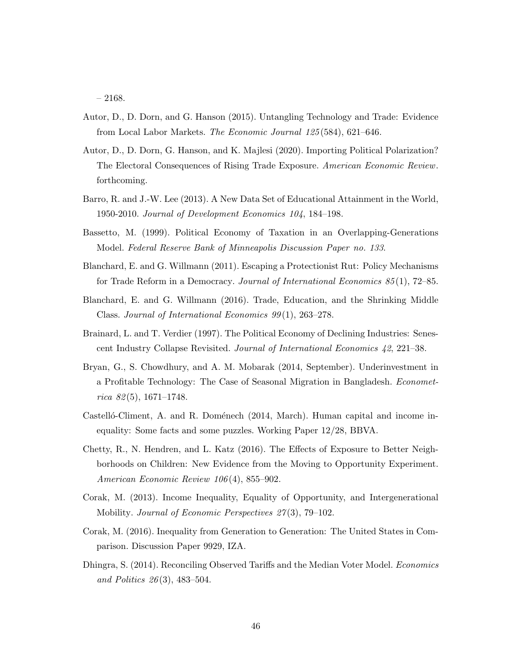– 2168.

- Autor, D., D. Dorn, and G. Hanson (2015). Untangling Technology and Trade: Evidence from Local Labor Markets. The Economic Journal 125 (584), 621–646.
- Autor, D., D. Dorn, G. Hanson, and K. Majlesi (2020). Importing Political Polarization? The Electoral Consequences of Rising Trade Exposure. American Economic Review. forthcoming.
- Barro, R. and J.-W. Lee (2013). A New Data Set of Educational Attainment in the World, 1950-2010. Journal of Development Economics 104, 184–198.
- Bassetto, M. (1999). Political Economy of Taxation in an Overlapping-Generations Model. Federal Reserve Bank of Minneapolis Discussion Paper no. 133.
- Blanchard, E. and G. Willmann (2011). Escaping a Protectionist Rut: Policy Mechanisms for Trade Reform in a Democracy. Journal of International Economics 85 (1), 72–85.
- Blanchard, E. and G. Willmann (2016). Trade, Education, and the Shrinking Middle Class. Journal of International Economics 99(1), 263–278.
- Brainard, L. and T. Verdier (1997). The Political Economy of Declining Industries: Senescent Industry Collapse Revisited. Journal of International Economics 42, 221–38.
- Bryan, G., S. Chowdhury, and A. M. Mobarak (2014, September). Underinvestment in a Profitable Technology: The Case of Seasonal Migration in Bangladesh. Econometrica  $82(5)$ , 1671–1748.
- Castelló-Climent, A. and R. Doménech (2014, March). Human capital and income inequality: Some facts and some puzzles. Working Paper 12/28, BBVA.
- Chetty, R., N. Hendren, and L. Katz (2016). The Effects of Exposure to Better Neighborhoods on Children: New Evidence from the Moving to Opportunity Experiment. American Economic Review 106 (4), 855–902.
- Corak, M. (2013). Income Inequality, Equality of Opportunity, and Intergenerational Mobility. *Journal of Economic Perspectives 27(3)*, 79–102.
- Corak, M. (2016). Inequality from Generation to Generation: The United States in Comparison. Discussion Paper 9929, IZA.
- Dhingra, S. (2014). Reconciling Observed Tariffs and the Median Voter Model. Economics and Politics 26 (3), 483–504.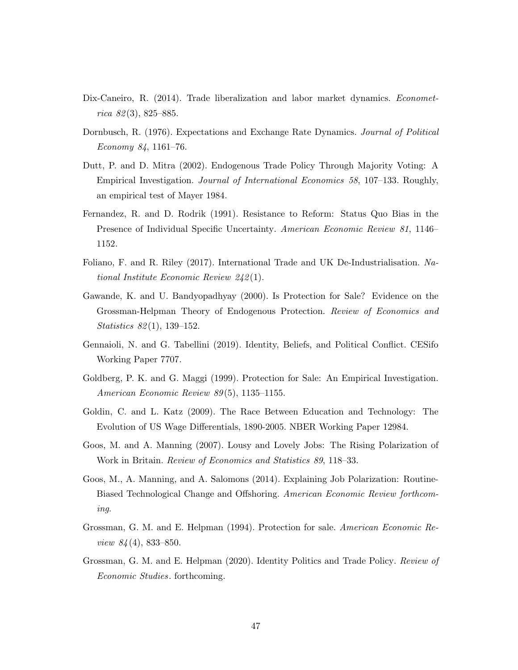- Dix-Caneiro, R. (2014). Trade liberalization and labor market dynamics. *Economet*rica  $82(3)$ , 825–885.
- Dornbusch, R. (1976). Expectations and Exchange Rate Dynamics. Journal of Political Economy 84, 1161–76.
- Dutt, P. and D. Mitra (2002). Endogenous Trade Policy Through Majority Voting: A Empirical Investigation. Journal of International Economics 58, 107–133. Roughly, an empirical test of Mayer 1984.
- Fernandez, R. and D. Rodrik (1991). Resistance to Reform: Status Quo Bias in the Presence of Individual Specific Uncertainty. American Economic Review 81, 1146– 1152.
- Foliano, F. and R. Riley (2017). International Trade and UK De-Industrialisation. National Institute Economic Review 242 (1).
- Gawande, K. and U. Bandyopadhyay (2000). Is Protection for Sale? Evidence on the Grossman-Helpman Theory of Endogenous Protection. Review of Economics and Statistics 82 (1), 139–152.
- Gennaioli, N. and G. Tabellini (2019). Identity, Beliefs, and Political Conflict. CESifo Working Paper 7707.
- Goldberg, P. K. and G. Maggi (1999). Protection for Sale: An Empirical Investigation. American Economic Review 89(5), 1135-1155.
- Goldin, C. and L. Katz (2009). The Race Between Education and Technology: The Evolution of US Wage Differentials, 1890-2005. NBER Working Paper 12984.
- Goos, M. and A. Manning (2007). Lousy and Lovely Jobs: The Rising Polarization of Work in Britain. Review of Economics and Statistics 89, 118–33.
- Goos, M., A. Manning, and A. Salomons (2014). Explaining Job Polarization: Routine-Biased Technological Change and Offshoring. American Economic Review forthcoming.
- Grossman, G. M. and E. Helpman (1994). Protection for sale. American Economic Review 84 (4), 833–850.
- Grossman, G. M. and E. Helpman (2020). Identity Politics and Trade Policy. Review of Economic Studies. forthcoming.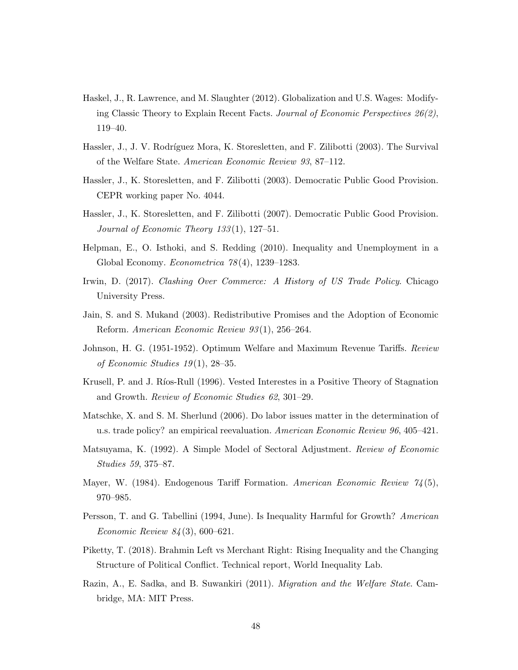- Haskel, J., R. Lawrence, and M. Slaughter (2012). Globalization and U.S. Wages: Modifying Classic Theory to Explain Recent Facts. Journal of Economic Perspectives 26(2), 119–40.
- Hassler, J., J. V. Rodríguez Mora, K. Storesletten, and F. Zilibotti (2003). The Survival of the Welfare State. American Economic Review 93, 87–112.
- Hassler, J., K. Storesletten, and F. Zilibotti (2003). Democratic Public Good Provision. CEPR working paper No. 4044.
- Hassler, J., K. Storesletten, and F. Zilibotti (2007). Democratic Public Good Provision. Journal of Economic Theory 133 (1), 127–51.
- Helpman, E., O. Isthoki, and S. Redding (2010). Inequality and Unemployment in a Global Economy. Econometrica 78 (4), 1239–1283.
- Irwin, D. (2017). Clashing Over Commerce: A History of US Trade Policy. Chicago University Press.
- Jain, S. and S. Mukand (2003). Redistributive Promises and the Adoption of Economic Reform. American Economic Review 93 (1), 256–264.
- Johnson, H. G. (1951-1952). Optimum Welfare and Maximum Revenue Tariffs. Review of Economic Studies  $19(1)$ , 28–35.
- Krusell, P. and J. Ríos-Rull (1996). Vested Interestes in a Positive Theory of Stagnation and Growth. Review of Economic Studies 62, 301–29.
- Matschke, X. and S. M. Sherlund (2006). Do labor issues matter in the determination of u.s. trade policy? an empirical reevaluation. American Economic Review 96, 405–421.
- Matsuyama, K. (1992). A Simple Model of Sectoral Adjustment. Review of Economic Studies 59, 375–87.
- Mayer, W. (1984). Endogenous Tariff Formation. American Economic Review  $\frac{74}{5}$ , 970–985.
- Persson, T. and G. Tabellini (1994, June). Is Inequality Harmful for Growth? American Economic Review 84 (3), 600–621.
- Piketty, T. (2018). Brahmin Left vs Merchant Right: Rising Inequality and the Changing Structure of Political Conflict. Technical report, World Inequality Lab.
- Razin, A., E. Sadka, and B. Suwankiri (2011). Migration and the Welfare State. Cambridge, MA: MIT Press.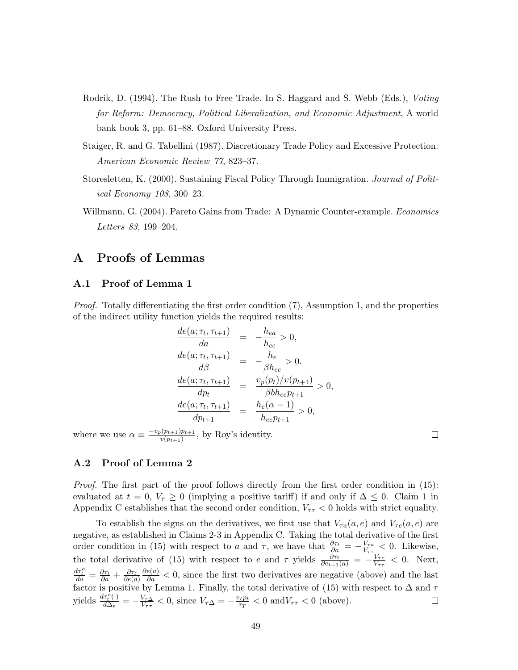- Rodrik, D. (1994). The Rush to Free Trade. In S. Haggard and S. Webb (Eds.), *Voting* for Reform: Democracy, Political Liberalization, and Economic Adjustment, A world bank book 3, pp. 61–88. Oxford University Press.
- Staiger, R. and G. Tabellini (1987). Discretionary Trade Policy and Excessive Protection. American Economic Review 77, 823–37.
- Storesletten, K. (2000). Sustaining Fiscal Policy Through Immigration. Journal of Political Economy 108, 300–23.
- Willmann, G. (2004). Pareto Gains from Trade: A Dynamic Counter-example. Economics Letters 83, 199–204.

# A Proofs of Lemmas

# A.1 Proof of Lemma 1

Proof. Totally differentiating the first order condition (7), Assumption 1, and the properties of the indirect utility function yields the required results:

$$
\frac{de(a; \tau_t, \tau_{t+1})}{da} = -\frac{h_{ea}}{h_{ee}} > 0,
$$
\n
$$
\frac{de(a; \tau_t, \tau_{t+1})}{d\beta} = -\frac{h_e}{\beta h_{ee}} > 0.
$$
\n
$$
\frac{de(a; \tau_t, \tau_{t+1})}{dp_t} = \frac{v_p(p_t)/v(p_{t+1})}{\beta b h_{ee} p_{t+1}} > 0,
$$
\n
$$
\frac{de(a; \tau_t, \tau_{t+1})}{dp_{t+1}} = \frac{h_e(\alpha - 1)}{h_{ee} p_{t+1}} > 0,
$$

where we use  $\alpha \equiv \frac{-v_p(p_{t+1})p_{t+1}}{v(p_{t+1})}$  $\frac{v(p_{t+1})p_{t+1}}{v(p_{t+1})}$ , by Roy's identity.

 $\Box$ 

## A.2 Proof of Lemma 2

Proof. The first part of the proof follows directly from the first order condition in (15): evaluated at  $t = 0, V_\tau \geq 0$  (implying a positive tariff) if and only if  $\Delta \leq 0$ . Claim 1 in Appendix C establishes that the second order condition,  $V_{\tau\tau} < 0$  holds with strict equality.

To establish the signs on the derivatives, we first use that  $V_{\tau a}(a, e)$  and  $V_{\tau e}(a, e)$  are negative, as established in Claims 2-3 in Appendix C. Taking the total derivative of the first order condition in (15) with respect to a and  $\tau$ , we have that  $\frac{\partial \tau_t}{\partial a} = -\frac{V_{\tau a}}{V_{\tau \tau}}$  $\frac{V_{\tau a}}{V_{\tau \tau}} < 0$ . Likewise, the total derivative of (15) with respect to e and  $\tau$  yields  $\frac{\partial \tau_t}{\partial e_{t-1}(a)} = -\frac{V_{\tau e}}{V_{\tau \tau}}$  $\frac{V_{\tau e}}{V_{\tau \tau}} < 0$ . Next,  $\frac{d\tau_t^o}{da} = \frac{\partial \tau_t}{\partial a} + \frac{\partial \tau_t}{\partial e(a)}$  $\frac{\partial e(a)}{\partial a}$  < 0, since the first two derivatives are negative (above) and the last factor is positive by Lemma 1. Finally, the total derivative of (15) with respect to  $\Delta$  and  $\tau$ yields  $\frac{d\tau_t^{\bar{\rho}}(\cdot)}{d\Delta_t}$  $\frac{dV_{\tau}^o(\cdot)}{d\Delta_t} = -\frac{V_{\tau\Delta}}{V_{\tau\tau}}$  $\frac{V_{\tau\Delta}}{V_{\tau\tau}}$  < 0, since  $V_{\tau\Delta} = -\frac{v_I p_t}{\tau_T}$  $\frac{\partial T P_t}{\partial \tau}$  < 0 and  $V_{\tau\tau}$  < 0 (above).  $\Box$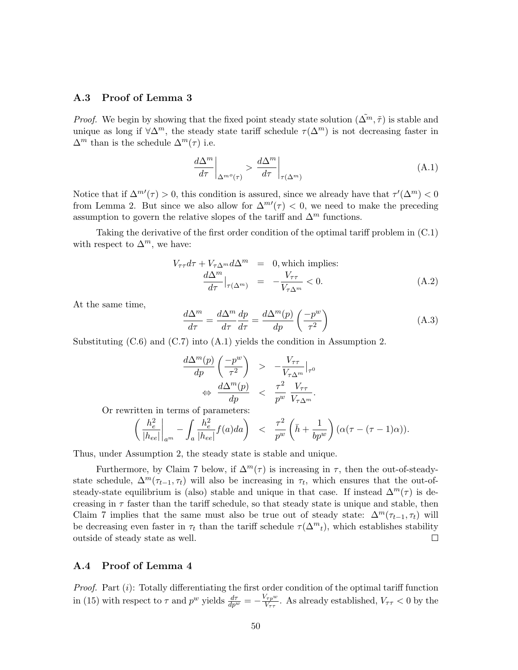# A.3 Proof of Lemma 3

*Proof.* We begin by showing that the fixed point steady state solution  $(\tilde{\Delta}^m, \tilde{\tau})$  is stable and unique as long if  $\forall \Delta^m$ , the steady state tariff schedule  $\tau(\Delta^m)$  is not decreasing faster in  $\Delta^m$  than is the schedule  $\Delta^m(\tau)$  i.e.

$$
\left. \frac{d\Delta^m}{d\tau} \right|_{\Delta^{m^o}(\tau)} > \left. \frac{d\Delta^m}{d\tau} \right|_{\tau(\Delta^m)} \tag{A.1}
$$

Notice that if  $\Delta^{m'}(\tau) > 0$ , this condition is assured, since we already have that  $\tau'(\Delta^m) < 0$ from Lemma 2. But since we also allow for  $\Delta^{m'}(\tau) < 0$ , we need to make the preceding assumption to govern the relative slopes of the tariff and  $\Delta^m$  functions.

Taking the derivative of the first order condition of the optimal tariff problem in (C.1) with respect to  $\Delta^m$ , we have:

$$
V_{\tau\tau}d\tau + V_{\tau\Delta^m}d\Delta^m = 0, \text{which implies:}
$$

$$
\frac{d\Delta^m}{d\tau}\Big|_{\tau(\Delta^m)} = -\frac{V_{\tau\tau}}{V_{\tau\Delta^m}} < 0.
$$
(A.2)

At the same time,

$$
\frac{d\Delta^m}{d\tau} = \frac{d\Delta^m}{d\tau}\frac{dp}{d\tau} = \frac{d\Delta^m(p)}{dp}\left(\frac{-p^w}{\tau^2}\right)
$$
(A.3)

Substituting (C.6) and (C.7) into (A.1) yields the condition in Assumption 2.

$$
\frac{d\Delta^{m}(p)}{dp} \left(\frac{-p^{w}}{\tau^{2}}\right) > -\frac{V_{\tau\tau}}{V_{\tau\Delta^{m}}}|_{\tau^{0}} \n\Leftrightarrow \frac{d\Delta^{m}(p)}{dp} < \frac{\tau^{2}}{p^{w}} \frac{V_{\tau\tau}}{V_{\tau\Delta^{m}}}.
$$

Or rewritten in terms of parameters:

$$
\left(\frac{h_e^2}{|h_{ee}|}\bigg|_{a^m} - \int_a \frac{h_e^2}{|h_{ee}|} f(a) da\right) < \frac{\tau^2}{p^w} \left(\bar{h} + \frac{1}{bp^w}\right) \left(\alpha(\tau - (\tau - 1)\alpha)\right).
$$

Thus, under Assumption 2, the steady state is stable and unique.

Furthermore, by Claim 7 below, if  $\Delta^m(\tau)$  is increasing in  $\tau$ , then the out-of-steadystate schedule,  $\Delta^m(\tau_{t-1}, \tau_t)$  will also be increasing in  $\tau_t$ , which ensures that the out-ofsteady-state equilibrium is (also) stable and unique in that case. If instead  $\Delta^m(\tau)$  is decreasing in  $\tau$  faster than the tariff schedule, so that steady state is unique and stable, then Claim 7 implies that the same must also be true out of steady state:  $\Delta^m(\tau_{t-1}, \tau_t)$  will be decreasing even faster in  $\tau_t$  than the tariff schedule  $\tau(\Delta^m_t)$ , which establishes stability outside of steady state as well.  $\Box$ 

#### A.4 Proof of Lemma 4

*Proof.* Part  $(i)$ : Totally differentiating the first order condition of the optimal tariff function in (15) with respect to  $\tau$  and  $p^w$  yields  $\frac{d\tau}{dp^w} = -\frac{V_{\tau p}w}{V_{\tau\tau}}$  $\frac{\partial^{\tau_{\mathcal{P}}w}}{V_{\tau\tau}}$ . As already established,  $V_{\tau\tau} < 0$  by the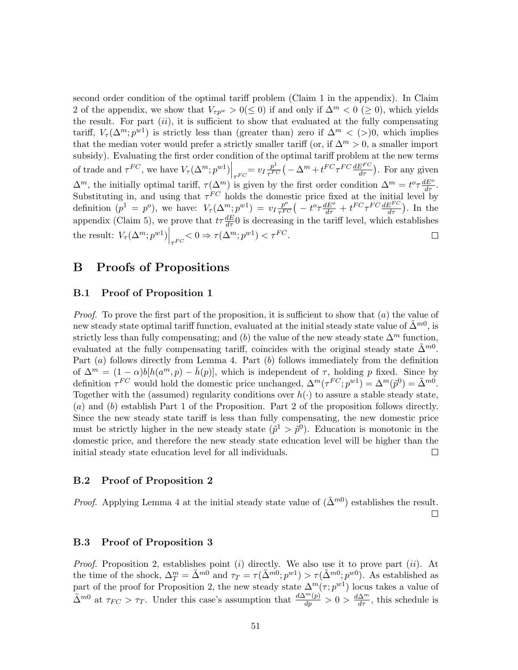second order condition of the optimal tariff problem (Claim 1 in the appendix). In Claim 2 of the appendix, we show that  $V_{\tau p^w} > 0 (\le 0)$  if and only if  $\Delta^m < 0$  (≥ 0), which yields the result. For part  $(ii)$ , it is sufficient to show that evaluated at the fully compensating tariff,  $V_\tau(\Delta^m; p^{w1})$  is strictly less than (greater than) zero if  $\Delta^m < (>0, 0)$ , which implies that the median voter would prefer a strictly smaller tariff (or, if  $\Delta^m > 0$ , a smaller import subsidy). Evaluating the first order condition of the optimal tariff problem at the new terms of trade and  $\tau^{FC}$ , we have  $V_{\tau}(\Delta^m; p^{w1})\Big|_{\tau^{FC}} = v_I \frac{p^1}{\tau^{FC}} \left(-\Delta^m + t^{FC} \tau^{FC} \frac{dE^{FC}}{d\tau}\right)$ . For any given  $\Delta^m$ , the initially optimal tariff,  $\tau(\Delta^m)$  is given by the first order condition  $\Delta^m = t^o \tau \frac{dE^o}{d\tau}$ . Substituting in, and using that  $\tau^{FC}$  holds the domestic price fixed at the initial level by definition  $(p^1 = p^o)$ , we have:  $V_\tau(\Delta^m; p^{w1}) = v_I \frac{p^o}{\tau^{FC}} \left( -t^o \tau \frac{dE^o}{d\tau} + t^{FC} \tau^{FC} \frac{dE^{FC}}{d\tau} \right)$ . In the appendix (Claim 5), we prove that  $t\tau \frac{dE}{d\tau}$  is decreasing in the tariff level, which establishes the result:  $V_\tau(\Delta^m; p^{w1})\Big|_{\tau^{FC}} < 0 \Rightarrow \tau(\Delta^m; p^{w1}) < \tau^{FC}$ .  $\Box$ 

# B Proofs of Propositions

# B.1 Proof of Proposition 1

*Proof.* To prove the first part of the proposition, it is sufficient to show that  $(a)$  the value of new steady state optimal tariff function, evaluated at the initial steady state value of  $\tilde{\Delta}^{m0}$ , is strictly less than fully compensating; and (b) the value of the new steady state  $\Delta^m$  function, evaluated at the fully compensating tariff, coincides with the original steady state  $\tilde{\Delta}^{m0}$ . Part (a) follows directly from Lemma 4. Part (b) follows immediately from the definition of  $\Delta^m = (1 - \alpha) b [h(a^m, p) - \bar{h}(p)]$ , which is independent of  $\tau$ , holding p fixed. Since by definition  $\tau^{FC}$  would hold the domestic price unchanged,  $\Delta^m(\tau^{FC};p^{w1}) = \Delta^m(\tilde{p}^0) = \tilde{\Delta}^{m0}$ . Together with the (assumed) regularity conditions over  $h(\cdot)$  to assure a stable steady state, (a) and (b) establish Part 1 of the Proposition. Part 2 of the proposition follows directly. Since the new steady state tariff is less than fully compensating, the new domestic price must be strictly higher in the new steady state  $(\tilde{p}^1 > \tilde{p}^0)$ . Education is monotonic in the domestic price, and therefore the new steady state education level will be higher than the initial steady state education level for all individuals.  $\Box$ 

#### B.2 Proof of Proposition 2

*Proof.* Applying Lemma 4 at the initial steady state value of  $(\tilde{\Delta}^{m0})$  establishes the result.

 $\Box$ 

## B.3 Proof of Proposition 3

*Proof.* Proposition 2, establishes point  $(i)$  directly. We also use it to prove part  $(ii)$ . At the time of the shock,  $\Delta_T^m = \tilde{\Delta}^{m0}$  and  $\tau_T = \tau(\tilde{\Delta}^{m0}; p^{w1}) > \tau(\tilde{\Delta}^{m0}; p^{w0})$ . As established as part of the proof for Proposition 2, the new steady state  $\Delta^m(\tau; p^{w_1})$  locus takes a value of  $\tilde{\Delta}^{m0}$  at  $\tau_{FC} > \tau_T$ . Under this case's assumption that  $\frac{d\Delta^{m}(p)}{dp} > 0 > \frac{d\Delta^{m}}{d\tau}$ , this schedule is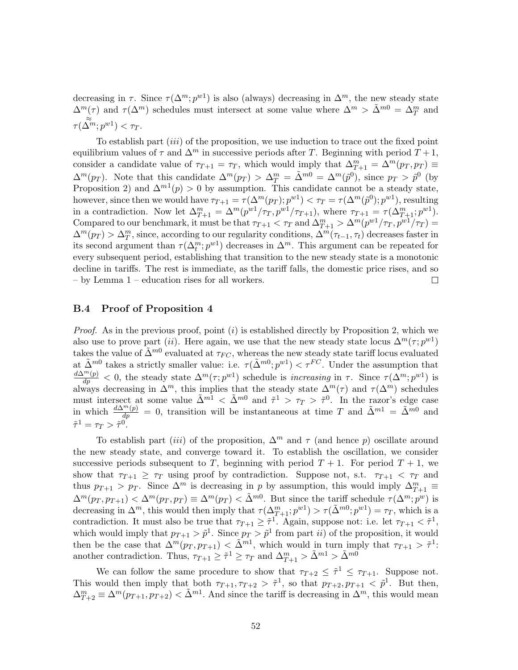decreasing in  $\tau$ . Since  $\tau(\Delta^m; p^{w_1})$  is also (always) decreasing in  $\Delta^m$ , the new steady state  $\Delta^m(\tau)$  and  $\tau(\Delta^m)$  schedules must intersect at some value where  $\Delta^m > \tilde{\Delta}^{m0} = \Delta_T^m$  and  $\tau(\tilde{\Delta^{m}};p^{w1}) < \tau_T.$ 

To establish part (iii) of the proposition, we use induction to trace out the fixed point equilibrium values of  $\tau$  and  $\Delta^m$  in successive periods after T. Beginning with period  $T + 1$ , consider a candidate value of  $\tau_{T+1} = \tau_T$ , which would imply that  $\Delta_{T+1}^m = \Delta^m(p_T, p_T) \equiv$  $\Delta^m(p_T)$ . Note that this candidate  $\Delta^m(p_T) > \Delta_T^m = \tilde{\Delta}^{m0} = \Delta^m(\tilde{p}^0)$ , since  $p_T > \tilde{p}^0$  (by Proposition 2) and  $\Delta^{m}(\rho) > 0$  by assumption. This candidate cannot be a steady state, however, since then we would have  $\tau_{T+1} = \tau(\Delta^m(p_T); p^{w_1}) < \tau_T = \tau(\Delta^m(\tilde{p}^0); p^{w_1})$ , resulting in a contradiction. Now let  $\Delta_{T+1}^m = \Delta^m(p^{w_1}/\tau_T, p^{w_1}/\tau_{T+1})$ , where  $\tau_{T+1} = \tau(\Delta_{T+1}^m; p^{w_1})$ . Compared to our benchmark, it must be that  $\tau_{T+1} < \tau_T$  and  $\Delta_{T+1}^m > \Delta^m(p^{w_1}/\tau_T, p^{w_1}/\tau_T) =$  $\Delta^m(p_T) > \Delta_T^m$ , since, according to our regularity conditions,  $\Delta^m(\tau_{t-1}, \tau_t)$  decreases faster in its second argument than  $\tau(\Delta_t^m; p^{w_1})$  decreases in  $\Delta^m$ . This argument can be repeated for every subsequent period, establishing that transition to the new steady state is a monotonic decline in tariffs. The rest is immediate, as the tariff falls, the domestic price rises, and so – by Lemma 1 – education rises for all workers.  $\Box$ 

## B.4 Proof of Proposition 4

*Proof.* As in the previous proof, point  $(i)$  is established directly by Proposition 2, which we also use to prove part (*ii*). Here again, we use that the new steady state locus  $\Delta^m(\tau; p^{w_1})$ takes the value of  $\tilde{\Delta}^{m0}$  evaluated at  $\tau_{FC}$ , whereas the new steady state tariff locus evaluated at  $\tilde{\Delta}^{m0}$  takes a strictly smaller value: i.e.  $\tau(\tilde{\Delta}^{m0};p^{w1}) < \tau^{FC}$ . Under the assumption that  $\frac{d\Delta^{m}(p)}{dp} < 0$ , the steady state  $\Delta^{m}(\tau;p^{w_1})$  schedule is *increasing* in  $\tau$ . Since  $\tau(\Delta^{m};p^{w_1})$  is always decreasing in  $\Delta^m$ , this implies that the steady state  $\Delta^m(\tau)$  and  $\tau(\Delta^m)$  schedules must intersect at some value  $\tilde{\Delta}^{m1} < \tilde{\Delta}^{m0}$  and  $\tilde{\tau}^1 > \tau_T > \tilde{\tau}^0$ . In the razor's edge case in which  $\frac{d\Delta^{m}(p)}{dp} = 0$ , transition will be instantaneous at time T and  $\tilde{\Delta}^{m1} = \tilde{\Delta}^{m0}$  and  $\tilde{\tau}^1 = \tau_T > \tilde{\tau}^0.$ 

To establish part (iii) of the proposition,  $\Delta^m$  and  $\tau$  (and hence p) oscillate around the new steady state, and converge toward it. To establish the oscillation, we consider successive periods subsequent to T, beginning with period  $T + 1$ . For period  $T + 1$ , we show that  $\tau_{T+1} \geq \tau_T$  using proof by contradiction. Suppose not, s.t.  $\tau_{T+1} < \tau_T$  and thus  $p_{T+1} > p_T$ . Since  $\Delta^m$  is decreasing in p by assumption, this would imply  $\Delta_{T+1}^m \equiv$  $\Delta^m(p_T, p_{T+1}) < \Delta^m(p_T, p_T) \equiv \Delta^m(p_T) < \tilde{\Delta}^{m0}$ . But since the tariff schedule  $\tau(\Delta^m; p^w)$  is decreasing in  $\Delta^m$ , this would then imply that  $\tau(\Delta_{T+1}^m; p^{w_1}) > \tau(\tilde{\Delta}^{m0}; p^{w_1}) = \tau_T$ , which is a contradiction. It must also be true that  $\tau_{T+1} \geq \tilde{\tau}^1$ . Again, suppose not: i.e. let  $\tau_{T+1} < \tilde{\tau}^1$ , which would imply that  $p_{T+1} > \tilde{p}^1$ . Since  $p_T > \tilde{p}^1$  from part *ii*) of the proposition, it would then be the case that  $\Delta^m(p_T, p_{T+1}) < \tilde{\Delta}^{m_1}$ , which would in turn imply that  $\tau_{T+1} > \tilde{\tau}^1$ : another contradiction. Thus,  $\tau_{T+1} \geq \tilde{\tau}^1 \geq \tau_T$  and  $\Delta_{T+1}^m > \tilde{\Delta}^{m1} > \tilde{\Delta}^{m0}$ 

We can follow the same procedure to show that  $\tau_{T+2} \leq \tilde{\tau}^1 \leq \tau_{T+1}$ . Suppose not. This would then imply that both  $\tau_{T+1}, \tau_{T+2} > \tilde{\tau}^1$ , so that  $p_{T+2}, p_{T+1} < \tilde{p}^1$ . But then,  $\Delta_{T+2}^m \equiv \Delta^m(p_{T+1}, p_{T+2}) < \tilde{\Delta}^{m_1}$ . And since the tariff is decreasing in  $\Delta^m$ , this would mean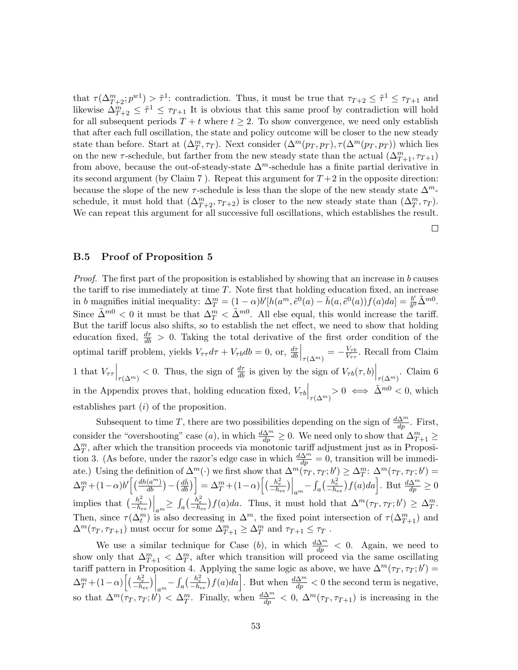that  $\tau(\Delta_{T+2}^m; p^{w_1}) > \tilde{\tau}^1$ : contradiction. Thus, it must be true that  $\tau_{T+2} \leq \tilde{\tau}^1 \leq \tau_{T+1}$  and likewise  $\Delta_{T+2}^m \leq \tilde{\tau}^1 \leq \tau_{T+1}$  It is obvious that this same proof by contradiction will hold for all subsequent periods  $T + t$  where  $t \geq 2$ . To show convergence, we need only establish that after each full oscillation, the state and policy outcome will be closer to the new steady state than before. Start at  $(\Delta_T^m, \tau_T)$ . Next consider  $(\Delta^m(p_T, p_T), \tau(\Delta^m(p_T, p_T))$  which lies on the new  $\tau$ -schedule, but farther from the new steady state than the actual  $(\Delta_{T+1}^m, \tau_{T+1})$ from above, because the out-of-steady-state  $\Delta^m$ -schedule has a finite partial derivative in its second argument (by Claim 7). Repeat this argument for  $T+2$  in the opposite direction: because the slope of the new  $\tau$ -schedule is less than the slope of the new steady state  $\Delta^m$ schedule, it must hold that  $(\Delta_{T+2}^m, \tau_{T+2})$  is closer to the new steady state than  $(\Delta_T^m, \tau_T)$ . We can repeat this argument for all successive full oscillations, which establishes the result.

 $\Box$ 

#### B.5 Proof of Proposition 5

Proof. The first part of the proposition is established by showing that an increase in b causes the tariff to rise immediately at time  $T$ . Note first that holding education fixed, an increase in b magnifies initial inequality:  $\Delta_T^m = (1 - \alpha) b' [h(a^m, \tilde{e}^0(a) - \bar{h}(a, \tilde{e}^0(a)) f(a) da] = \frac{b'}{b^0}$  $rac{b'}{b^0} \tilde{\Delta}^{m0}.$ Since  $\tilde{\Delta}^{m0} < 0$  it must be that  $\Delta_T^m < \tilde{\Delta}^{m0}$ . All else equal, this would increase the tariff. But the tariff locus also shifts, so to establish the net effect, we need to show that holding education fixed,  $\frac{d\tau}{db} > 0$ . Taking the total derivative of the first order condition of the optimal tariff problem, yields  $V_{\tau\tau}d\tau + V_{\tau b}db = 0$ , or,  $\frac{d\tau}{db}\Big|_{\tau(\Delta^m)} = -\frac{V_{\tau b}}{V_{\tau\tau}}$  $\frac{V_{\tau b}}{V_{\tau\tau}}$ . Recall from Claim 1 that  $V_{\tau\tau}\Big|_{\tau(\Delta^m)} < 0$ . Thus, the sign of  $\frac{d\tau}{db}$  is given by the sign of  $V_{\tau b}(\tau, b)\Big|_{\tau(\Delta^m)}$ . Claim 6 in the Appendix proves that, holding education fixed,  $V_{\tau b}\Big|_{\tau(\Delta^m)} > 0 \iff \tilde{\Delta}^{m0} < 0$ , which establishes part (i) of the proposition.

Subsequent to time T, there are two possibilities depending on the sign of  $\frac{d\Delta^m}{dp}$ . First, consider the "overshooting" case (*a*), in which  $\frac{d\Delta^m}{dp} \geq 0$ . We need only to show that  $\Delta^m_{T+1} \geq$  $\Delta_T^m$ , after which the transition proceeds via monotonic tariff adjustment just as in Proposition 3. (As before, under the razor's edge case in which  $\frac{d\Delta^m}{dp} = 0$ , transition will be immediate.) Using the definition of  $\Delta^m(\cdot)$  we first show that  $\Delta^m(\tau_T, \tau_T; b') \geq \Delta^m_T$ :  $\Delta^m(\tau_T, \tau_T; b') =$  $\Delta_T^m + (1-\alpha)b'\left[\left(\frac{dh(a^m)}{db}\right) - \left(\frac{d\bar{h}}{db}\right)\right] = \Delta_T^m + (1-\alpha)\left[\left(\frac{h_e^2}{-h_{ee}}\right)\Big|_{a^m} - \int_a\left(\frac{h_e^2}{-h_{ee}}\right)f(a)da\right].$  But  $\frac{d\Delta^m}{dp} \ge 0$ implies that  $\left(\frac{h_e^2}{-h_{ee}}\right)\Big|_{am} \geq \int_a \left(\frac{h_e^2}{-h_{ee}}\right) f(a)da$ . Thus, it must hold that  $\Delta^m(\tau_T, \tau_T; b') \geq \Delta_T^m$ . Then, since  $\tau(\Delta_t^m)$  is also decreasing in  $\Delta^m$ , the fixed point intersection of  $\tau(\Delta_{T+1}^m)$  and  $\Delta^m(\tau_T, \tau_{T+1})$  must occur for some  $\Delta^m_{T+1} \geq \Delta^m_T$  and  $\tau_{T+1} \leq \tau_T$ .

We use a similar technique for Case (b), in which  $\frac{d\Delta^m}{dp} < 0$ . Again, we need to show only that  $\Delta_{T+1}^m < \Delta_T^m$ , after which transition will proceed via the same oscillating tariff pattern in Proposition 4. Applying the same logic as above, we have  $\Delta^m(\tau_T, \tau_T; b') =$  $\Delta_T^m + (1-\alpha) \left[ \left( \frac{h_e^2}{-h_{ee}} \right) \Big|_{a^m} - \int_a \left( \frac{h_e^2}{-h_{ee}} \right) f(a) da \right]$ . But when  $\frac{d\Delta^m}{dp} < 0$  the second term is negative, so that  $\Delta^m(\tau_T, \tau_T; b') < \Delta_T^m$ . Finally, when  $\frac{d\Delta^m}{dp} < 0$ ,  $\Delta^m(\tau_T, \tau_{T+1})$  is increasing in the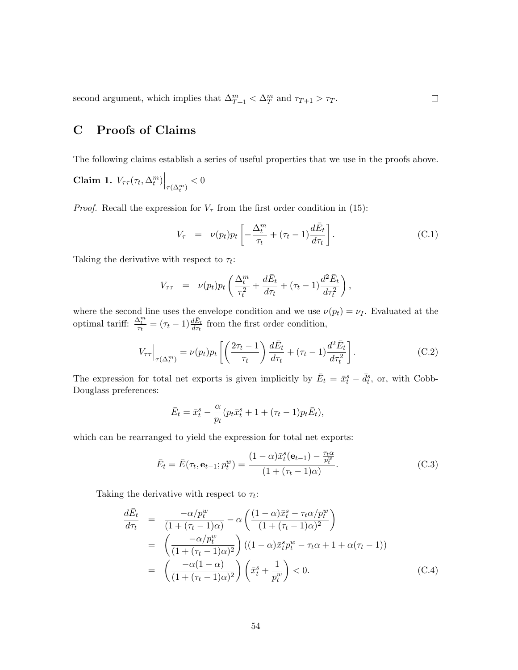second argument, which implies that  $\Delta_{T+1}^m < \Delta_T^m$  and  $\tau_{T+1} > \tau_T$ .

# C Proofs of Claims

The following claims establish a series of useful properties that we use in the proofs above.

Claim 1.  $V_{\tau\tau}(\tau_t, \Delta_t^m)\Big|_{\tau(\Delta_t^m)} < 0$ 

*Proof.* Recall the expression for  $V_{\tau}$  from the first order condition in (15):

$$
V_{\tau} = \nu(p_t)p_t \left[ -\frac{\Delta_t^m}{\tau_t} + (\tau_t - 1)\frac{d\bar{E}_t}{d\tau_t} \right]. \tag{C.1}
$$

Taking the derivative with respect to  $\tau_t$ :

$$
V_{\tau\tau} = \nu(p_t)p_t\left(\frac{\Delta_t^m}{\tau_t^2} + \frac{d\bar{E}_t}{d\tau_t} + (\tau_t - 1)\frac{d^2\bar{E}_t}{d\tau_t^2}\right),
$$

where the second line uses the envelope condition and we use  $\nu(p_t) = \nu_I$ . Evaluated at the optimal tariff:  $\frac{\Delta_t^m}{\tau_t} = (\tau_t - 1) \frac{d\bar{E}_t}{d\tau_t}$  from the first order condition,

$$
V_{\tau\tau}\Big|_{\tau(\Delta_t^m)} = \nu(p_t)p_t\left[\left(\frac{2\tau_t - 1}{\tau_t}\right)\frac{d\bar{E}_t}{d\tau_t} + (\tau_t - 1)\frac{d^2\bar{E}_t}{d\tau_t^2}\right].\tag{C.2}
$$

The expression for total net exports is given implicitly by  $\bar{E}_t = \bar{x}_t^s - \bar{d}_t^s$ , or, with Cobb-Douglass preferences:

$$
\bar{E}_t = \bar{x}_t^s - \frac{\alpha}{p_t} (p_t \bar{x}_t^s + 1 + (\tau_t - 1)p_t \bar{E}_t),
$$

which can be rearranged to yield the expression for total net exports:

$$
\bar{E}_t = \bar{E}(\tau_t, \mathbf{e}_{t-1}; p_t^w) = \frac{(1-\alpha)\bar{x}_t^s(\mathbf{e}_{t-1}) - \frac{\tau_t \alpha}{p_t^w}}{(1 + (\tau_t - 1)\alpha)}.
$$
(C.3)

Taking the derivative with respect to  $\tau_t$ :

$$
\frac{d\bar{E}_t}{d\tau_t} = \frac{-\alpha/p_t^w}{(1+(\tau_t-1)\alpha)} - \alpha \left( \frac{(1-\alpha)\bar{x}_t^s - \tau_t \alpha/p_t^w}{(1+(\tau_t-1)\alpha)^2} \right)
$$
\n
$$
= \left( \frac{-\alpha/p_t^w}{(1+(\tau_t-1)\alpha)^2} \right) ((1-\alpha)\bar{x}_t^s p_t^w - \tau_t \alpha + 1 + \alpha(\tau_t-1))
$$
\n
$$
= \left( \frac{-\alpha(1-\alpha)}{(1+(\tau_t-1)\alpha)^2} \right) \left( \bar{x}_t^s + \frac{1}{p_t^w} \right) < 0. \tag{C.4}
$$

 $\Box$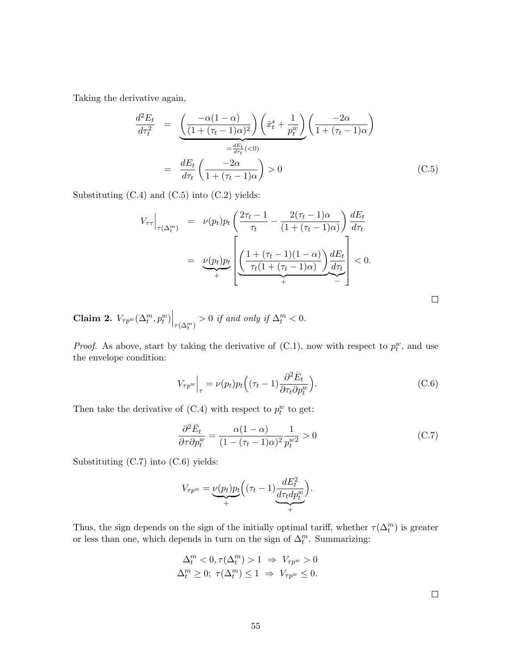Taking the derivative again,

$$
\frac{d^2 E_t}{d\tau_t^2} = \underbrace{\left(\frac{-\alpha(1-\alpha)}{(1+(\tau_t-1)\alpha)^2}\right)}_{=\frac{dE_t}{d\tau_t}(<0)} \left(\frac{-2\alpha}{1+(\tau_t-1)\alpha}\right)
$$
\n
$$
= \frac{dE_t}{d\tau_t} \left(\frac{-2\alpha}{1+(\tau_t-1)\alpha}\right) > 0 \tag{C.5}
$$

Substituting (C.4) and (C.5) into (C.2) yields:

$$
V_{\tau\tau}\Big|_{\tau(\Delta_t^m)} = \nu(p_t)p_t\left(\frac{2\tau_t - 1}{\tau_t} - \frac{2(\tau_t - 1)\alpha}{(1 + (\tau_t - 1)\alpha)}\right)\frac{dE_t}{d\tau_t}
$$
  

$$
= \underbrace{\nu(p_t)p_t}_{+} \left[\underbrace{\left(\frac{1 + (\tau_t - 1)(1 - \alpha)}{\tau_t(1 + (\tau_t - 1)\alpha)}\right)\frac{dE_t}{d\tau_t}}_{+}\right] < 0.
$$

**Claim 2.**  $V_{\tau p^w}(\Delta_t^m, p_t^w)\Big|_{\tau(\Delta_t^m)} > 0$  if and only if  $\Delta_t^m < 0$ .

*Proof.* As above, start by taking the derivative of  $(C.1)$ , now with respect to  $p_t^w$ , and use the envelope condition:

$$
V_{\tau p^w}\Big|_{\tau} = \nu(p_t)p_t\Big((\tau_t - 1)\frac{\partial^2 \bar{E}_t}{\partial \tau_t \partial p_t^w}\Big). \tag{C.6}
$$

Then take the derivative of  $(C.4)$  with respect to  $p_t^w$  to get:

$$
\frac{\partial^2 \bar{E}_t}{\partial \tau \partial p_t^w} = \frac{\alpha (1 - \alpha)}{(1 - (\tau_t - 1)\alpha)^2} \frac{1}{p_t^{w^2}} > 0
$$
\n(C.7)

Substituting (C.7) into (C.6) yields:

$$
V_{\tau p^w} = \underbrace{\nu(p_t)p_t}_{+} \Big( (\tau_t - 1) \underbrace{\frac{dE_t^2}{d\tau_t dp_t^w}}_{+} \Big).
$$

Thus, the sign depends on the sign of the initially optimal tariff, whether  $\tau(\Delta_t^m)$  is greater or less than one, which depends in turn on the sign of  $\Delta_t^m$ . Summarizing:

$$
\Delta_t^m < 0, \tau(\Delta_t^m) > 1 \Rightarrow V_{\tau p^w} > 0
$$
\n
$$
\Delta_t^m \ge 0; \ \tau(\Delta_t^m) \le 1 \Rightarrow V_{\tau p^w} \le 0.
$$

 $\Box$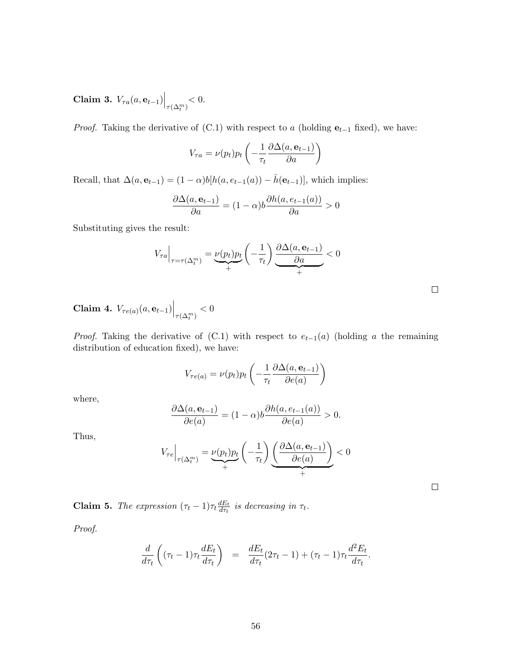Claim 3.  $V_{\tau a}(a, e_{t-1})\Big|_{\tau(\Delta_t^m)} < 0.$ 

*Proof.* Taking the derivative of  $(C.1)$  with respect to a (holding  $e_{t-1}$  fixed), we have:

$$
V_{\tau a} = \nu(p_t) p_t \left( -\frac{1}{\tau_t} \frac{\partial \Delta(a, \mathbf{e}_{t-1})}{\partial a} \right)
$$

Recall, that  $\Delta(a, \mathbf{e}_{t-1}) = (1 - \alpha) b[h(a, e_{t-1}(a)) - \bar{h}(\mathbf{e}_{t-1})]$ , which implies:

$$
\frac{\partial \Delta(a, \mathbf{e}_{t-1})}{\partial a} = (1 - \alpha)b \frac{\partial h(a, e_{t-1}(a))}{\partial a} > 0
$$

Substituting gives the result:

$$
V_{\tau a}\Big|_{\tau=\tau(\Delta_t^m)}=\underbrace{\nu(p_t)p_t}_{+}\left(-\frac{1}{\tau_t}\right)\underbrace{\frac{\partial \Delta(a,\mathbf{e}_{t-1})}{\partial a}}_{+}<0
$$

Claim 4.  $V_{\tau e(a)}(a, e_{t-1})\Big|_{\tau(\Delta_t^m)} < 0$ 

*Proof.* Taking the derivative of  $(C.1)$  with respect to  $e_{t-1}(a)$  (holding a the remaining distribution of education fixed), we have:

$$
V_{\tau e(a)} = \nu(p_t) p_t \left( -\frac{1}{\tau_t} \frac{\partial \Delta(a, \mathbf{e}_{t-1})}{\partial e(a)} \right)
$$

where,

$$
\frac{\partial \Delta(a, \mathbf{e}_{t-1})}{\partial e(a)} = (1 - \alpha)b \frac{\partial h(a, e_{t-1}(a))}{\partial e(a)} > 0.
$$

Thus,

$$
V_{\tau e}\Big|_{\tau(\Delta_t^m)} = \underbrace{\nu(p_t)p_t}_{+} \left(-\frac{1}{\tau_t}\right) \underbrace{\left(\frac{\partial \Delta(a, \mathbf{e}_{t-1})}{\partial e(a)}\right)}_{+} < 0
$$

 $\Box$ 

**Claim 5.** The expression  $(\tau_t - 1)\tau_t \frac{dE_t}{d\tau_t}$  $\frac{dE_t}{d\tau_t}$  is decreasing in  $\tau_t$ .

Proof.

$$
\frac{d}{d\tau_t} \left( (\tau_t - 1) \tau_t \frac{dE_t}{d\tau_t} \right) = \frac{dE_t}{d\tau_t} (2\tau_t - 1) + (\tau_t - 1) \tau_t \frac{d^2 E_t}{d\tau_t}.
$$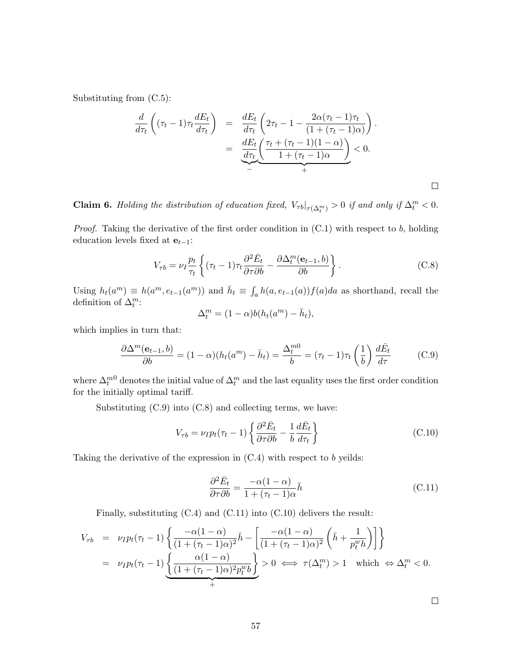Substituting from (C.5):

$$
\frac{d}{d\tau_t} \left( (\tau_t - 1) \tau_t \frac{dE_t}{d\tau_t} \right) = \frac{dE_t}{d\tau_t} \left( 2\tau_t - 1 - \frac{2\alpha(\tau_t - 1)\tau_t}{(1 + (\tau_t - 1)\alpha)} \right).
$$
\n
$$
= \frac{dE_t}{d\tau_t} \underbrace{\left( \frac{\tau_t + (\tau_t - 1)(1 - \alpha)}{1 + (\tau_t - 1)\alpha} \right)}_{+} < 0.
$$

**Claim 6.** Holding the distribution of education fixed,  $V_{\tau b}|_{\tau(\Delta_t^m)} > 0$  if and only if  $\Delta_t^m < 0$ .

*Proof.* Taking the derivative of the first order condition in  $(C.1)$  with respect to b, holding education levels fixed at  $e_{t-1}$ :

$$
V_{\tau b} = \nu_I \frac{p_t}{\tau_t} \left\{ (\tau_t - 1) \tau_t \frac{\partial^2 \bar{E}_t}{\partial \tau \partial b} - \frac{\partial \Delta_t^m(\mathbf{e}_{t-1}, b)}{\partial b} \right\}.
$$
 (C.8)

Using  $h_t(a^m) \equiv h(a^m, e_{t-1}(a^m))$  and  $\bar{h}_t \equiv \int_a h(a, e_{t-1}(a)) f(a) da$  as shorthand, recall the definition of  $\Delta_t^m$ :

$$
\Delta_t^m = (1 - \alpha)b(h_t(a^m) - \bar{h}_t),
$$

which implies in turn that:

$$
\frac{\partial \Delta^m(\mathbf{e}_{t-1},b)}{\partial b} = (1-\alpha)(h_t(a^m) - \bar{h}_t) = \frac{\Delta_t^{m0}}{b} = (\tau_t - 1)\tau_t \left(\frac{1}{b}\right) \frac{d\bar{E}_t}{d\tau}
$$
(C.9)

where  $\Delta_t^{m0}$  denotes the initial value of  $\Delta_t^m$  and the last equality uses the first order condition for the initially optimal tariff.

Substituting (C.9) into (C.8) and collecting terms, we have:

$$
V_{\tau b} = \nu_I p_t (\tau_t - 1) \left\{ \frac{\partial^2 \bar{E}_t}{\partial \tau \partial b} - \frac{1}{b} \frac{d \bar{E}_t}{d \tau_t} \right\} \tag{C.10}
$$

Taking the derivative of the expression in  $(C.4)$  with respect to b yeilds:

$$
\frac{\partial^2 \bar{E}_t}{\partial \tau \partial b} = \frac{-\alpha (1 - \alpha)}{1 + (\tau_t - 1)\alpha} \bar{h}
$$
\n(C.11)

Finally, substituting (C.4) and (C.11) into (C.10) delivers the result:

$$
V_{\tau b} = \nu_I p_t(\tau_t - 1) \left\{ \frac{-\alpha (1 - \alpha)}{(1 + (\tau_t - 1)\alpha)^2} \bar{h} - \left[ \frac{-\alpha (1 - \alpha)}{(1 + (\tau_t - 1)\alpha)^2} \left( \bar{h} + \frac{1}{p_t^w h} \right) \right] \right\}
$$
  
=  $\nu_I p_t(\tau_t - 1) \left\{ \frac{\alpha (1 - \alpha)}{(1 + (\tau_t - 1)\alpha)^2 p_t^w b} \right\} > 0 \iff \tau(\Delta_t^m) > 1 \text{ which } \Leftrightarrow \Delta_t^m < 0.$ 

 $\Box$